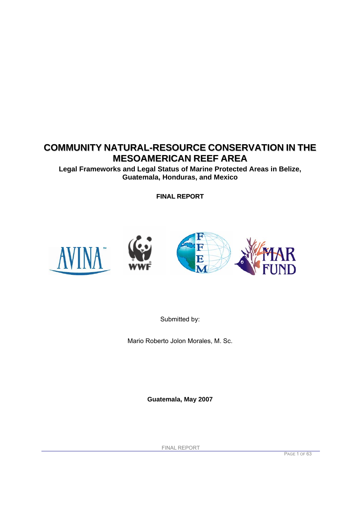# **COMMUNITY NATURAL-RESOURCE CONSERVATION IN THE MESOAMERICAN REEF AREA**

**Legal Frameworks and Legal Status of Marine Protected Areas in Belize, Guatemala, Honduras, and Mexico** 

**FINAL REPORT**







Submitted by:

Mario Roberto Jolon Morales, M. Sc.

**Guatemala, May 2007**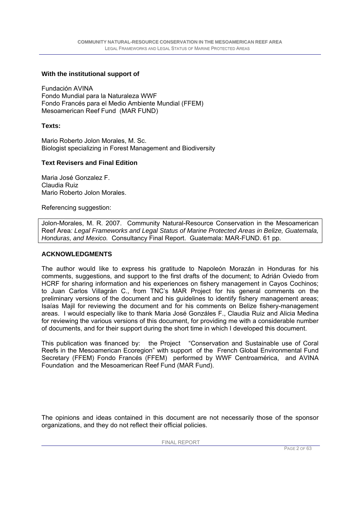#### **With the institutional support of**

Fundación AVINA Fondo Mundial para la Naturaleza WWF Fondo Francés para el Medio Ambiente Mundial (FFEM) Mesoamerican Reef Fund (MAR FUND)

#### **Texts:**

Mario Roberto Jolon Morales, M. Sc. Biologist specializing in Forest Management and Biodiversity

#### **Text Revisers and Final Edition**

Maria José Gonzalez F. Claudia Ruiz Mario Roberto Jolon Morales.

Referencing suggestion:

Jolon-Morales, M. R. 2007. Community Natural-Resource Conservation in the Mesoamerican Reef Area*: Legal Frameworks and Legal Status of Marine Protected Areas in Belize, Guatemala, Honduras, and Mexico.* Consultancy Final Report. Guatemala: MAR-FUND. 61 pp.

#### **ACKNOWLEDGMENTS**

The author would like to express his gratitude to Napoleón Morazán in Honduras for his comments, suggestions, and support to the first drafts of the document; to Adrián Oviedo from HCRF for sharing information and his experiences on fishery management in Cayos Cochinos; to Juan Carlos Villagrán C., from TNC's MAR Project for his general comments on the preliminary versions of the document and his guidelines to identify fishery management areas; Isaías Majil for reviewing the document and for his comments on Belize fishery-management areas. I would especially like to thank Maria José Gonzáles F., Claudia Ruiz and Alicia Medina for reviewing the various versions of this document, for providing me with a considerable number of documents, and for their support during the short time in which I developed this document.

This publication was financed by: the Project "Conservation and Sustainable use of Coral Reefs in the Mesoamerican Ecoregion" with support of the French Global Environmental Fund Secretary (FFEM) Fondo Francés (FFEM) performed by WWF Centroamérica, and AVINA Foundation and the Mesoamerican Reef Fund (MAR Fund).

The opinions and ideas contained in this document are not necessarily those of the sponsor organizations, and they do not reflect their official policies.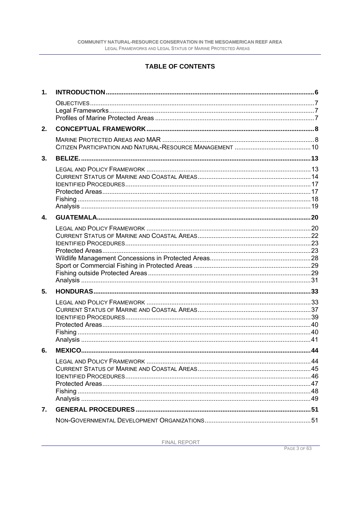### **TABLE OF CONTENTS**

| 1. |  |
|----|--|
|    |  |
| 2. |  |
|    |  |
| 3. |  |
|    |  |
| 4. |  |
|    |  |
| 5. |  |
|    |  |
| 6. |  |
|    |  |
| 7. |  |
|    |  |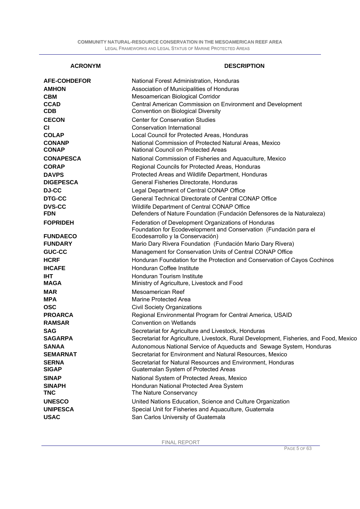#### **ACRONYM DESCRIPTION**

| <b>AFE-COHDEFOR</b>         | National Forest Administration, Honduras                                                                                 |
|-----------------------------|--------------------------------------------------------------------------------------------------------------------------|
| <b>AMHON</b>                | Association of Municipalities of Honduras                                                                                |
| <b>CBM</b>                  | Mesoamerican Biological Corridor                                                                                         |
| <b>CCAD</b><br><b>CDB</b>   | Central American Commission on Environment and Development<br>Convention on Biological Diversity                         |
| <b>CECON</b>                | <b>Center for Conservation Studies</b>                                                                                   |
| <b>CI</b>                   | <b>Conservation International</b>                                                                                        |
| <b>COLAP</b>                | Local Council for Protected Areas, Honduras                                                                              |
| <b>CONANP</b>               | National Commission of Protected Natural Areas, Mexico                                                                   |
| <b>CONAP</b>                | National Council on Protected Areas                                                                                      |
| <b>CONAPESCA</b>            | National Commission of Fisheries and Aquaculture, Mexico                                                                 |
| <b>CORAP</b>                | Regional Councils for Protected Areas, Honduras                                                                          |
| <b>DAVPS</b>                | Protected Areas and Wildlife Department, Honduras                                                                        |
| <b>DIGEPESCA</b>            | General Fisheries Directorate, Honduras                                                                                  |
| <b>DJ-CC</b>                | Legal Department of Central CONAP Office                                                                                 |
| <b>DTG-CC</b>               | General Technical Directorate of Central CONAP Office                                                                    |
| <b>DVS-CC</b>               | Wildlife Department of Central CONAP Office                                                                              |
| <b>FDN</b>                  | Defenders of Nature Foundation (Fundación Defensores de la Naturaleza)                                                   |
| <b>FOPRIDEH</b>             | Federation of Development Organizations of Honduras<br>Foundation for Ecodevelopment and Conservation (Fundación para el |
| <b>FUNDAECO</b>             | Ecodesarrollo y la Conservación)                                                                                         |
| <b>FUNDARY</b>              | Mario Dary Rivera Foundation (Fundación Mario Dary Rivera)                                                               |
| <b>GUC-CC</b>               | Management for Conservation Units of Central CONAP Office                                                                |
| <b>HCRF</b>                 | Honduran Foundation for the Protection and Conservation of Cayos Cochinos                                                |
| <b>IHCAFE</b>               | Honduran Coffee Institute                                                                                                |
| <b>IHT</b><br><b>MAGA</b>   | Honduran Tourism Institute<br>Ministry of Agriculture, Livestock and Food                                                |
| <b>MAR</b>                  | Mesoamerican Reef                                                                                                        |
| <b>MPA</b>                  | <b>Marine Protected Area</b>                                                                                             |
| <b>OSC</b>                  | <b>Civil Society Organizations</b>                                                                                       |
| <b>PROARCA</b>              | Regional Environmental Program for Central America, USAID                                                                |
| <b>RAMSAR</b>               | <b>Convention on Wetlands</b>                                                                                            |
| <b>SAG</b>                  | Secretariat for Agriculture and Livestock, Honduras                                                                      |
| <b>SAGARPA</b>              | Secretariat for Agriculture, Livestock, Rural Development, Fisheries, and Food, Mexico                                   |
| <b>SANAA</b>                | Autonomous National Service of Aqueducts and Sewage System, Honduras                                                     |
| <b>SEMARNAT</b>             | Secretariat for Environment and Natural Resources, Mexico                                                                |
| <b>SERNA</b>                | Secretariat for Natural Resources and Environment, Honduras                                                              |
| <b>SIGAP</b>                | Guatemalan System of Protected Areas                                                                                     |
| <b>SINAP</b>                | National System of Protected Areas, Mexico                                                                               |
| <b>SINAPH</b><br><b>TNC</b> | Honduran National Protected Area System<br>The Nature Conservancy                                                        |
| <b>UNESCO</b>               | United Nations Education, Science and Culture Organization                                                               |
| <b>UNIPESCA</b>             | Special Unit for Fisheries and Aquaculture, Guatemala                                                                    |
| <b>USAC</b>                 | San Carlos University of Guatemala                                                                                       |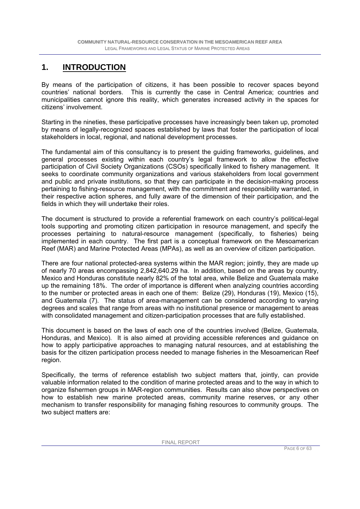### **1. INTRODUCTION**

By means of the participation of citizens, it has been possible to recover spaces beyond countries' national borders. This is currently the case in Central America; countries and municipalities cannot ignore this reality, which generates increased activity in the spaces for citizens' involvement.

Starting in the nineties, these participative processes have increasingly been taken up, promoted by means of legally-recognized spaces established by laws that foster the participation of local stakeholders in local, regional, and national development processes.

The fundamental aim of this consultancy is to present the guiding frameworks, guidelines, and general processes existing within each country's legal framework to allow the effective participation of Civil Society Organizations (CSOs) specifically linked to fishery management. It seeks to coordinate community organizations and various stakeholders from local government and public and private institutions, so that they can participate in the decision-making process pertaining to fishing-resource management, with the commitment and responsibility warranted, in their respective action spheres, and fully aware of the dimension of their participation, and the fields in which they will undertake their roles.

The document is structured to provide a referential framework on each country's political-legal tools supporting and promoting citizen participation in resource management, and specify the processes pertaining to natural-resource management (specifically, to fisheries) being implemented in each country. The first part is a conceptual framework on the Mesoamerican Reef (MAR) and Marine Protected Areas (MPAs), as well as an overview of citizen participation.

There are four national protected-area systems within the MAR region; jointly, they are made up of nearly 70 areas encompassing 2,842,640.29 ha. In addition, based on the areas by country, Mexico and Honduras constitute nearly 82% of the total area, while Belize and Guatemala make up the remaining 18%. The order of importance is different when analyzing countries according to the number or protected areas in each one of them: Belize (29), Honduras (19), Mexico (15), and Guatemala (7). The status of area-management can be considered according to varying degrees and scales that range from areas with no institutional presence or management to areas with consolidated management and citizen-participation processes that are fully established.

This document is based on the laws of each one of the countries involved (Belize, Guatemala, Honduras, and Mexico). It is also aimed at providing accessible references and guidance on how to apply participative approaches to managing natural resources, and at establishing the basis for the citizen participation process needed to manage fisheries in the Mesoamerican Reef region.

Specifically, the terms of reference establish two subject matters that, jointly, can provide valuable information related to the condition of marine protected areas and to the way in which to organize fishermen groups in MAR-region communities. Results can also show perspectives on how to establish new marine protected areas, community marine reserves, or any other mechanism to transfer responsibility for managing fishing resources to community groups. The two subject matters are: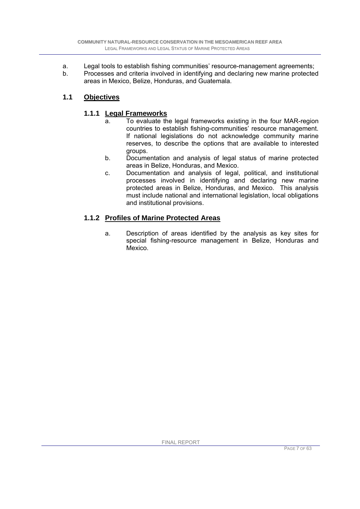- a. Legal tools to establish fishing communities' resource-management agreements;
- b. Processes and criteria involved in identifying and declaring new marine protected areas in Mexico, Belize, Honduras, and Guatemala.

### **1.1 Objectives**

### **1.1.1 Legal Frameworks**

- a. To evaluate the legal frameworks existing in the four MAR-region countries to establish fishing-communities' resource management. If national legislations do not acknowledge community marine reserves, to describe the options that are available to interested groups.
- b. Documentation and analysis of legal status of marine protected areas in Belize, Honduras, and Mexico.
- c. Documentation and analysis of legal, political, and institutional processes involved in identifying and declaring new marine protected areas in Belize, Honduras, and Mexico. This analysis must include national and international legislation, local obligations and institutional provisions.

### **1.1.2 Profiles of Marine Protected Areas**

a. Description of areas identified by the analysis as key sites for special fishing-resource management in Belize, Honduras and Mexico.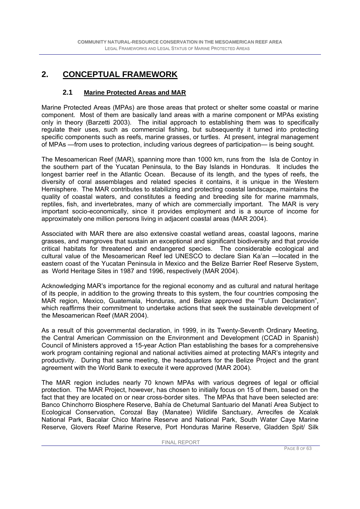### **2. CONCEPTUAL FRAMEWORK**

### **2.1 Marine Protected Areas and MAR**

Marine Protected Areas (MPAs) are those areas that protect or shelter some coastal or marine component. Most of them are basically land areas with a marine component or MPAs existing only in theory (Barzetti 2003). The initial approach to establishing them was to specifically regulate their uses, such as commercial fishing, but subsequently it turned into protecting specific components such as reefs, marine grasses, or turtles. At present, integral management of MPAs —from uses to protection, including various degrees of participation— is being sought.

The Mesoamerican Reef (MAR), spanning more than 1000 km, runs from the Isla de Contoy in the southern part of the Yucatan Peninsula, to the Bay Islands in Honduras. It includes the longest barrier reef in the Atlantic Ocean. Because of its length, and the types of reefs, the diversity of coral assemblages and related species it contains, it is unique in the Western Hemisphere. The MAR contributes to stabilizing and protecting coastal landscape, maintains the quality of coastal waters, and constitutes a feeding and breeding site for marine mammals, reptiles, fish, and invertebrates, many of which are commercially important. The MAR is very important socio-economically, since it provides employment and is a source of income for approximately one million persons living in adjacent coastal areas (MAR 2004).

Associated with MAR there are also extensive coastal wetland areas, coastal lagoons, marine grasses, and mangroves that sustain an exceptional and significant biodiversity and that provide critical habitats for threatened and endangered species. The considerable ecological and cultural value of the Mesoamerican Reef led UNESCO to declare Sian Ka'an —located in the eastern coast of the Yucatan Peninsula in Mexico and the Belize Barrier Reef Reserve System, as World Heritage Sites in 1987 and 1996, respectively (MAR 2004).

Acknowledging MAR's importance for the regional economy and as cultural and natural heritage of its people, in addition to the growing threats to this system, the four countries composing the MAR region, Mexico, Guatemala, Honduras, and Belize approved the "Tulum Declaration", which reaffirms their commitment to undertake actions that seek the sustainable development of the Mesoamerican Reef (MAR 2004).

As a result of this governmental declaration, in 1999, in its Twenty-Seventh Ordinary Meeting, the Central American Commission on the Environment and Development (CCAD in Spanish) Council of Ministers approved a 15-year Action Plan establishing the bases for a comprehensive work program containing regional and national activities aimed at protecting MAR's integrity and productivity. During that same meeting, the headquarters for the Belize Project and the grant agreement with the World Bank to execute it were approved (MAR 2004).

The MAR region includes nearly 70 known MPAs with various degrees of legal or official protection. The MAR Project, however, has chosen to initially focus on 15 of them, based on the fact that they are located on or near cross-border sites. The MPAs that have been selected are: Banco Chinchorro Biosphere Reserve, Bahía de Chetumal Santuario del Manatí Area Subject to Ecological Conservation, Corozal Bay (Manatee) Wildlife Sanctuary, Arrecifes de Xcalak National Park, Bacalar Chico Marine Reserve and National Park, South Water Caye Marine Reserve, Glovers Reef Marine Reserve, Port Honduras Marine Reserve, Gladden Spit/ Silk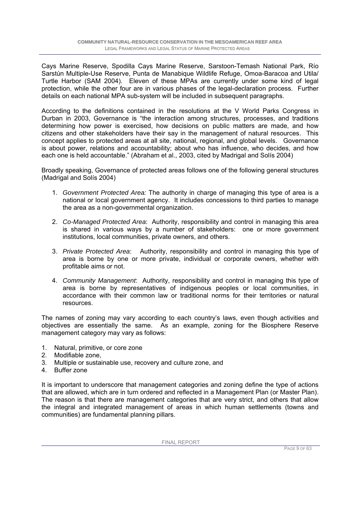Cays Marine Reserve, Spodilla Cays Marine Reserve, Sarstoon-Temash National Park, Río Sarstún Multiple-Use Reserve, Punta de Manabique Wildlife Refuge, Omoa-Baracoa and Utila/ Turtle Harbor (SAM 2004). Eleven of these MPAs are currently under some kind of legal protection, while the other four are in various phases of the legal-declaration process. Further details on each national MPA sub-system will be included in subsequent paragraphs.

According to the definitions contained in the resolutions at the V World Parks Congress in Durban in 2003, Governance is "the interaction among structures, processes, and traditions determining how power is exercised, how decisions on public matters are made, and how citizens and other stakeholders have their say in the management of natural resources. This concept applies to protected areas at all site, national, regional, and global levels. Governance is about power, relations and accountability; about who has influence, who decides, and how each one is held accountable." (Abraham et al., 2003, cited by Madrigal and Solís 2004)

Broadly speaking, Governance of protected areas follows one of the following general structures (Madrigal and Solís 2004)

- 1. *Government Protected Area:* The authority in charge of managing this type of area is a national or local government agency. It includes concessions to third parties to manage the area as a non-governmental organization.
- 2. *Co-Managed Protected Area*: Authority, responsibility and control in managing this area is shared in various ways by a number of stakeholders: one or more government institutions, local communities, private owners, and others.
- 3. *Private Protected Area*: Authority, responsibility and control in managing this type of area is borne by one or more private, individual or corporate owners, whether with profitable aims or not.
- 4. *Community Management*: Authority, responsibility and control in managing this type of area is borne by representatives of indigenous peoples or local communities, in accordance with their common law or traditional norms for their territories or natural resources.

The names of zoning may vary according to each country's laws, even though activities and objectives are essentially the same. As an example, zoning for the Biosphere Reserve management category may vary as follows:

- 1. Natural, primitive, or core zone
- 2. Modifiable zone
- 3. Multiple or sustainable use, recovery and culture zone, and
- 4. Buffer zone

It is important to underscore that management categories and zoning define the type of actions that are allowed, which are in turn ordered and reflected in a Management Plan (or Master Plan). The reason is that there are management categories that are very strict, and others that allow the integral and integrated management of areas in which human settlements (towns and communities) are fundamental planning pillars.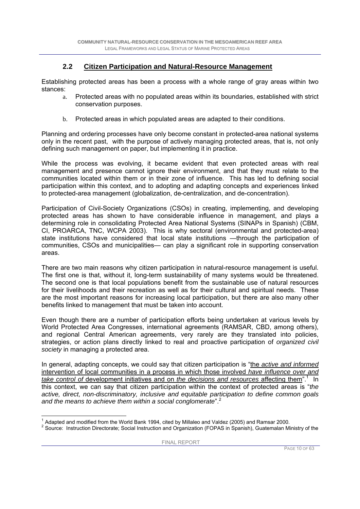### **2.2 Citizen Participation and Natural-Resource Management**

Establishing protected areas has been a process with a whole range of gray areas within two stances:

- a. Protected areas with no populated areas within its boundaries, established with strict conservation purposes.
- b. Protected areas in which populated areas are adapted to their conditions.

Planning and ordering processes have only become constant in protected-area national systems only in the recent past, with the purpose of actively managing protected areas, that is, not only defining such management on paper, but implementing it in practice.

While the process was evolving, it became evident that even protected areas with real management and presence cannot ignore their environment, and that they must relate to the communities located within them or in their zone of influence. This has led to defining social participation within this context, and to adopting and adapting concepts and experiences linked to protected-area management (globalization, de-centralization, and de-concentration).

Participation of Civil-Society Organizations (CSOs) in creating, implementing, and developing protected areas has shown to have considerable influence in management, and plays a determining role in consolidating Protected Area National Systems (SINAPs in Spanish) (CBM, CI, PROARCA, TNC, WCPA 2003). This is why sectoral (environmental and protected-area) state institutions have considered that local state institutions —through the participation of communities, CSOs and municipalities— can play a significant role in supporting conservation areas.

There are two main reasons why citizen participation in natural-resource management is useful. The first one is that, without it, long-term sustainability of many systems would be threatened. The second one is that local populations benefit from the sustainable use of natural resources for their livelihoods and their recreation as well as for their cultural and spiritual needs. These are the most important reasons for increasing local participation, but there are also many other benefits linked to management that must be taken into account.

Even though there are a number of participation efforts being undertaken at various levels by World Protected Area Congresses, international agreements (RAMSAR, CBD, among others), and regional Central American agreements, very rarely are they translated into policies, strategies, or action plans directly linked to real and proactive participation of *organized civil society* in managing a protected area.

In general, adapting concepts, we could say that citizen participation is "the *active and informed* intervention of local communities in a process in which those involved *have influence over and*  take control of development initiatives and on the decisions and resources affecting them<sup>".1</sup> In this context, we can say that citizen participation within the context of protected areas is "*the active, direct, non-discriminatory, inclusive and equitable participation to define common goals and the means to achieve them within a social conglomerate*".<sup>2</sup>

 1 Adapted and modified from the World Bank 1994, cited by Millaleo and Valdez (2005) and Ramsar 2000.

 $2$  Source: Instruction Directorate; Social Instruction and Organization (FOPAS in Spanish), Guatemalan Ministry of the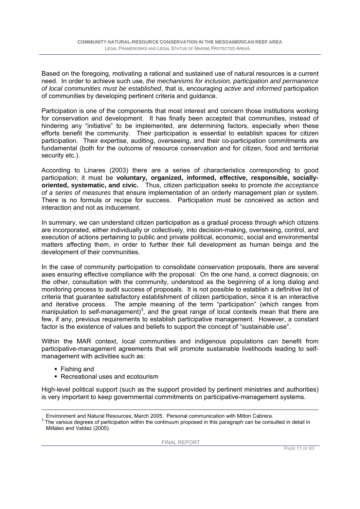Based on the foregoing, motivating a rational and sustained use of natural resources is a current need. In order to achieve such use, *the mechanisms for inclusion, participation and permanence of local communities must be established*, that is, encouraging *active and informed* participation of communities by developing pertinent criteria and guidance.

Participation is one of the components that most interest and concern those institutions working for conservation and development. It has finally been accepted that communities, instead of hindering any "initiative" to be implemented, are determining factors, especially when these efforts benefit the community. Their participation is essential to establish spaces for citizen participation. Their expertise, auditing, overseeing, and their co-participation commitments are fundamental (both for the outcome of resource conservation and for citizen, food and territorial security etc.).

According to Linares (2003) there are a series of characteristics corresponding to good participation; it must be **voluntary, organized, informed, effective, responsible, sociallyoriented, systematic, and civic.** Thus, citizen participation seeks to promote *the acceptance of a series of measures* that ensure implementation of an orderly management plan or system. There is no formula or recipe for success. Participation must be conceived as action and interaction and not as inducement.

In summary, we can understand citizen participation as a gradual process through which citizens are incorporated, either individually or collectively, into decision-making, overseeing, control, and execution of actions pertaining to public and private political, economic, social and environmental matters affecting them, in order to further their full development as human beings and the development of their communities.

In the case of community participation to consolidate conservation proposals, there are several axes ensuring effective compliance with the proposal: On the one hand, a correct diagnosis; on the other, consultation with the community, understood as the beginning of a long dialog and monitoring process to audit success of proposals. It is not possible to establish a definitive list of criteria that guarantee satisfactory establishment of citizen participation, since it is an interactive and iterative process. The ample meaning of the term "participation" (which ranges from manipulation to self-management)<sup>3</sup>, and the great range of local contexts mean that there are few, if any, previous requirements to establish participative management. However, a constant factor is the existence of values and beliefs to support the concept of "sustainable use".

Within the MAR context, local communities and indigenous populations can benefit from participative-management agreements that will promote sustainable livelihoods leading to selfmanagement with activities such as:

- Fishing and
- Recreational uses and ecotourism

High-level political support (such as the support provided by pertinent ministries and authorities) is very important to keep governmental commitments on participative-management systems.

Environment and Natural Resources, March 2005. Personal communication with Milton Cabrera. 3

 $3$  The various degrees of participation within the continuum proposed in this paragraph can be consulted in detail in Millaleo and Valdez (2005).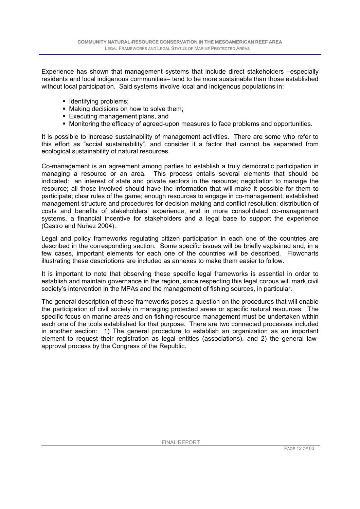Experience has shown that management systems that include direct stakeholders –especially residents and local indigenous communities– tend to be more sustainable than those established without local participation. Said systems involve local and indigenous populations in:

- **Identifying problems;**
- Making decisions on how to solve them;
- Executing management plans, and
- Monitoring the efficacy of agreed-upon measures to face problems and opportunities.

It is possible to increase sustainability of management activities. There are some who refer to this effort as "social sustainability", and consider it a factor that cannot be separated from ecological sustainability of natural resources.

Co-management is an agreement among parties to establish a truly democratic participation in managing a resource or an area. This process entails several elements that should be indicated: an interest of state and private sectors in the resource; negotiation to manage the resource; all those involved should have the information that will make it possible for them to participate; clear rules of the game; enough resources to engage in co-management; established management structure and procedures for decision making and conflict resolution; distribution of costs and benefits of stakeholders' experience, and in more consolidated co-management systems, a financial incentive for stakeholders and a legal base to support the experience (Castro and Nuñez 2004).

Legal and policy frameworks regulating citizen participation in each one of the countries are described in the corresponding section. Some specific issues will be briefly explained and, in a few cases, important elements for each one of the countries will be described. Flowcharts illustrating these descriptions are included as annexes to make them easier to follow.

It is important to note that observing these specific legal frameworks is essential in order to establish and maintain governance in the region, since respecting this legal corpus will mark civil society's intervention in the MPAs and the management of fishing sources, in particular.

The general description of these frameworks poses a question on the procedures that will enable the participation of civil society in managing protected areas or specific natural resources. The specific focus on marine areas and on fishing-resource management must be undertaken within each one of the tools established for that purpose. There are two connected processes included in another section: 1) The general procedure to establish an organization as an important element to request their registration as legal entities (associations), and 2) the general lawapproval process by the Congress of the Republic.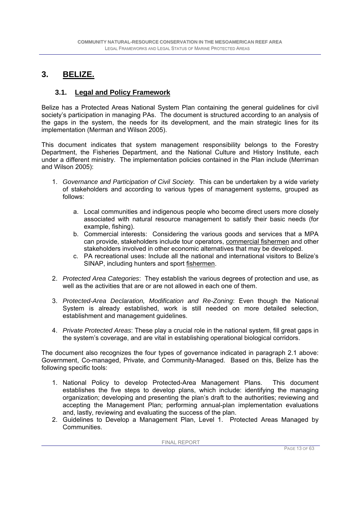### **3. BELIZE.**

### **3.1. Legal and Policy Framework**

Belize has a Protected Areas National System Plan containing the general guidelines for civil society's participation in managing PAs. The document is structured according to an analysis of the gaps in the system, the needs for its development, and the main strategic lines for its implementation (Merman and Wilson 2005).

This document indicates that system management responsibility belongs to the Forestry Department, the Fisheries Department, and the National Culture and History Institute, each under a different ministry. The implementation policies contained in the Plan include (Merriman and Wilson 2005):

- 1. *Governance and Participation of Civil Society.* This can be undertaken by a wide variety of stakeholders and according to various types of management systems, grouped as follows:
	- a. Local communities and indigenous people who become direct users more closely associated with natural resource management to satisfy their basic needs (for example, fishing).
	- b. Commercial interests: Considering the various goods and services that a MPA can provide, stakeholders include tour operators, commercial fishermen and other stakeholders involved in other economic alternatives that may be developed.
	- c. PA recreational uses: Include all the national and international visitors to Belize's SINAP, including hunters and sport fishermen.
- 2. *Protected Area Categories*: They establish the various degrees of protection and use, as well as the activities that are or are not allowed in each one of them.
- 3. *Protected-Area Declaration, Modification and Re-Zoning*: Even though the National System is already established, work is still needed on more detailed selection, establishment and management guidelines.
- 4. *Private Protected Areas*: These play a crucial role in the national system, fill great gaps in the system's coverage, and are vital in establishing operational biological corridors.

The document also recognizes the four types of governance indicated in paragraph 2.1 above: Government, Co-managed, Private, and Community-Managed. Based on this, Belize has the following specific tools:

- 1. National Policy to develop Protected-Area Management Plans. This document establishes the five steps to develop plans, which include: identifying the managing organization; developing and presenting the plan's draft to the authorities; reviewing and accepting the Management Plan; performing annual-plan implementation evaluations and, lastly, reviewing and evaluating the success of the plan.
- 2. Guidelines to Develop a Management Plan, Level 1. Protected Areas Managed by Communities.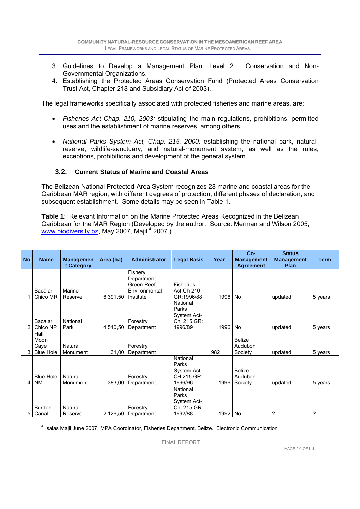- 3. Guidelines to Develop a Management Plan, Level 2. Conservation and Non-Governmental Organizations.
- 4. Establishing the Protected Areas Conservation Fund (Protected Areas Conservation Trust Act, Chapter 218 and Subsidiary Act of 2003).

The legal frameworks specifically associated with protected fisheries and marine areas, are:

- *Fisheries Act Chap. 210, 2003:* stipulating the main regulations, prohibitions, permitted uses and the establishment of marine reserves, among others.
- *National Parks System Act, Chap. 215, 2000:* establishing the national park, naturalreserve, wildlife-sanctuary, and natural-monument system, as well as the rules, exceptions, prohibitions and development of the general system.

#### **3.2. Current Status of Marine and Coastal Areas**

The Belizean National Protected-Area System recognizes 28 marine and coastal areas for the Caribbean MAR region, with different degrees of protection, different phases of declaration, and subsequent establishment. Some details may be seen in Table 1.

**Table 1**: Relevant Information on the Marine Protected Areas Recognized in the Belizean Caribbean for the MAR Region (Developed by the author. Source: Merman and Wilson 2005, www.biodiversity.bz, May 2007, Majil <sup>4</sup> 2007.)

| <b>No</b>      | <b>Name</b>                              | <b>Managemen</b><br>t Category | Area (ha) | <b>Administrator</b>                                               | <b>Legal Basis</b>                                         | Year | $Co-$<br><b>Management</b><br><b>Agreement</b> | <b>Status</b><br><b>Management</b><br><b>Plan</b> | <b>Term</b> |
|----------------|------------------------------------------|--------------------------------|-----------|--------------------------------------------------------------------|------------------------------------------------------------|------|------------------------------------------------|---------------------------------------------------|-------------|
|                | Bacalar<br>Chico MR                      | Marine<br>Reserve              | 6.391,50  | Fishery<br>Department-<br>Green Reef<br>Environmental<br>Institute | <b>Fisheries</b><br>Act-Ch 210<br>GR:1996/88               | 1996 | No                                             | updated                                           | 5 years     |
| $\overline{2}$ | Bacalar<br>Chico NP                      | National<br>Park               | 4.510,50  | Forestry<br>Department                                             | National<br>Parks<br>System Act-<br>Ch. 215 GR:<br>1996/89 | 1996 | <b>No</b>                                      | updated                                           | 5 years     |
| 3              | Half<br>Moon<br>Caye<br><b>Blue Hole</b> | Natural<br>Monument            | 31,00     | Forestry<br>Department                                             |                                                            | 1982 | <b>Belize</b><br>Audubon<br>Society            | updated                                           | 5 years     |
| $\overline{4}$ | <b>Blue Hole</b><br><b>NM</b>            | Natural<br>Monument            | 383,00    | Forestry<br>Department                                             | National<br>Parks<br>System Act-<br>CH.215 GR:<br>1996/96  | 1996 | <b>Belize</b><br>Audubon<br>Society            | updated                                           | 5 years     |
| 5 I            | <b>Burdon</b><br>Canal                   | Natural<br>Reserve             | 2.126,50  | Forestry<br>Department                                             | National<br>Parks<br>System Act-<br>Ch. 215 GR:<br>1992/88 | 1992 | <b>No</b>                                      | ?                                                 | ?           |

4 Isaias Majil June 2007, MPA Coordinator, Fisheries Department, Belize. Electronic Communication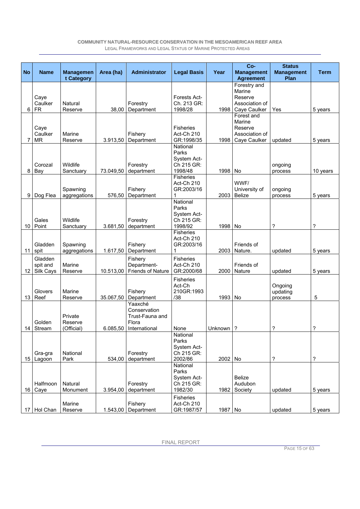| <b>No</b> | <b>Name</b>                      | <b>Managemen</b>                 | Area (ha) | <b>Administrator</b>                                                 | <b>Legal Basis</b>                                        | Year    | Co-<br><b>Management</b>                                            | <b>Status</b><br><b>Management</b> | <b>Term</b>              |
|-----------|----------------------------------|----------------------------------|-----------|----------------------------------------------------------------------|-----------------------------------------------------------|---------|---------------------------------------------------------------------|------------------------------------|--------------------------|
|           |                                  | t Category                       |           |                                                                      |                                                           |         | <b>Agreement</b>                                                    | Plan                               |                          |
| 6         | Caye<br>Caulker<br><b>FR</b>     | Natural<br>Reserve               | 38,00     | Forestry<br>Department                                               | <b>Forests Act-</b><br>Ch. 213 GR:<br>1998/28             | 1998    | Forestry and<br>Marine<br>Reserve<br>Association of<br>Caye Caulker | Yes                                | 5 years                  |
|           | Caye<br>Caulker<br>MR            | Marine<br>Reserve                | 3.913,50  | Fishery<br>Department                                                | <b>Fisheries</b><br>Act-Ch 210<br>GR:1998/35              | 1998    | Forest and<br>Marine<br>Reserve<br>Association of<br>Caye Caulker   | updated                            | 5 years                  |
| 8         | Corozal<br>Bay                   | Wildlife<br>Sanctuary            | 73.049,50 | Forestry<br>department                                               | National<br>Parks<br>System Act-<br>Ch 215 GR:<br>1998/48 | 1998    | No                                                                  | ongoing<br>process                 | 10 years                 |
| 9         | Dog Flea                         | Spawning<br>aggregations         | 576,50    | Fishery<br>Department                                                | <b>Fisheries</b><br>Act-Ch 210<br>GR:2003/16<br>1         | 2003    | WWF/<br>University of<br><b>Belize</b>                              | ongoing<br>process                 | 5 years                  |
| 10        | Gales<br>Point                   | Wildlife<br>Sanctuary            | 3.681,50  | Forestry<br>department                                               | National<br>Parks<br>System Act-<br>Ch 215 GR:<br>1998/92 | 1998    | No                                                                  | ?                                  | $\overline{\phantom{a}}$ |
| 11        | Gladden<br>spit                  | Spawning<br>aggregations         | 1.617,50  | Fishery<br>Department                                                | <b>Fisheries</b><br>Act-Ch 210<br>GR:2003/16<br>1         | 2003    | Friends of<br>Nature.                                               | updated                            | 5 years                  |
| 12        | Gladden<br>spit and<br>Silk Cays | Marine<br>Reserve                | 10.513,00 | Fishery<br>Department-<br><b>Friends of Nature</b>                   | <b>Fisheries</b><br>Act-Ch 210<br>GR:2000/68              | 2000    | Friends of<br>Nature                                                | updated                            | 5 years                  |
| 13        | Glovers<br>Reef                  | Marine<br>Reserve                | 35.067.50 | Fishery<br>Department                                                | <b>Fisheries</b><br>Act-Ch<br>210GR:1993<br>/38           | 1993    | No                                                                  | Ongoing<br>updating<br>process     | 5                        |
|           | Golden<br>14 Stream              | Private<br>Reserve<br>(Official) | 6.085,50  | Yaaxché<br>Conservation<br>Trust-Fauna and<br>Flora<br>International | None                                                      | Unknown | ?                                                                   | ?                                  | ?                        |
|           | Gra-gra<br>15 Lagoon             | National<br>Park                 | 534,00    | Forestry<br>department                                               | National<br>Parks<br>System Act-<br>Ch 215 GR:<br>2002/86 | 2002    | No                                                                  | ?                                  | $\overline{?}$           |
| 16        | Halfmoon<br>Caye                 | Natural<br>Monument              | 3.954,00  | Forestry<br>department                                               | National<br>Parks<br>System Act-<br>Ch 215 GR:<br>1982/30 | 1982    | Belize<br>Audubon<br>Society                                        | updated                            | 5 years                  |
| 17        | Hol Chan                         | Marine<br>Reserve                | 1.543,00  | Fishery<br>Department                                                | Fisheries<br>Act-Ch 210<br>GR:1987/57                     | 1987 No |                                                                     | updated                            | 5 years                  |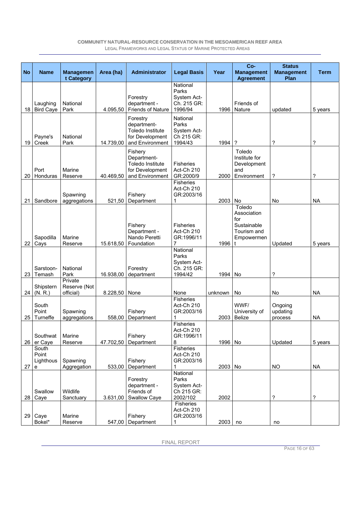| <b>No</b> | <b>Name</b>                      | <b>Managemen</b>                     | Area (ha)          | <b>Administrator</b>                                                              | <b>Legal Basis</b>                                         | Year    | Co-<br><b>Management</b>                                                      | <b>Status</b><br><b>Management</b> | <b>Term</b>              |
|-----------|----------------------------------|--------------------------------------|--------------------|-----------------------------------------------------------------------------------|------------------------------------------------------------|---------|-------------------------------------------------------------------------------|------------------------------------|--------------------------|
|           |                                  | t Category                           |                    |                                                                                   | National                                                   |         | <b>Agreement</b>                                                              | Plan                               |                          |
| 18        | Laughing<br><b>Bird Caye</b>     | National<br>Park                     | 4.095,50           | Forestry<br>department -<br><b>Friends of Nature</b>                              | Parks<br>System Act-<br>Ch. 215 GR:<br>1996/94             | 1996    | Friends of<br>Nature                                                          | updated                            | 5 years                  |
| 19        | Payne's<br>Creek                 | National<br>Park                     | 14.739,00          | Forestry<br>department-<br>Toledo Institute<br>for Development<br>and Environment | National<br>Parks<br>System Act-<br>Ch 215 GR:<br>1994/43  | 1994    | ?                                                                             | ?                                  | ?                        |
| 20        | Port<br>Honduras                 | Marine<br>Reserve                    | 40.469,50          | Fishery<br>Department-<br>Toledo Institute<br>for Development<br>and Environment  | <b>Fisheries</b><br>Act-Ch 210<br>GR:2000/9                | 2000    | Toledo<br>Institute for<br>Development<br>and<br>Environment                  | ?                                  | ?                        |
| 21        | Sandbore                         | Spawning<br>aggregations             | 521,50             | Fishery<br>Department                                                             | <b>Fisheries</b><br>Act-Ch 210<br>GR:2003/16<br>1          | 2003    | No                                                                            | No                                 | <b>NA</b>                |
| 22        | Sapodilla<br>Cays                | Marine<br>Reserve                    | 15.618,50          | Fishery<br>Department -<br>Nando Peretti<br>Foundation                            | <b>Fisheries</b><br>Act-Ch 210<br>GR:1996/11<br>7          | 1996    | Toledo<br>Association<br>for<br>Sustainable<br>Tourism and<br>Empowermen<br>t | Updated                            | 5 years                  |
| 23        | Sarstoon-<br>Temash              | National<br>Park                     | 16.938,00          | Forestry<br>department                                                            | National<br>Parks<br>System Act-<br>Ch. 215 GR:<br>1994/42 | 1994    | No                                                                            | ?                                  |                          |
| 24        | Shipstern<br>(N, R)              | Private<br>Reserve (Not<br>official) |                    | None                                                                              | None                                                       | unknown | No                                                                            | <b>No</b>                          | <b>NA</b>                |
| 25        | South<br>Point<br>Turneffe       | Spawning<br>aggregations             | 8.228,50<br>558,00 | Fishery<br>Department                                                             | <b>Fisheries</b><br>Act-Ch 210<br>GR:2003/16               | 2003    | WWF/<br>University of<br><b>Belize</b>                                        | Ongoing<br>updating<br>process     | <b>NA</b>                |
| 26        | Southwat<br>er Caye              | Marine<br>Reserve                    | 47.702,50          | Fishery<br>Department                                                             | <b>Fisheries</b><br>Act-Ch 210<br>GR:1996/11<br>8          | 1996 No |                                                                               | Updated                            | 5 years                  |
| 27        | South<br>Point<br>Lighthous<br>e | Spawning<br>Aggregation              | 533,00             | Fishery<br>Department                                                             | Fisheries<br>Act-Ch 210<br>GR:2003/16<br>1                 | 2003 No |                                                                               | <b>NO</b>                          | <b>NA</b>                |
| 28        | Swallow<br>Caye                  | Wildlife<br>Sanctuary                | 3.631,00           | Forestry<br>department -<br>Friends of<br>Swallow Caye                            | National<br>Parks<br>System Act-<br>Ch 215 GR:<br>2002/102 | 2002    |                                                                               | ?                                  | $\overline{\phantom{a}}$ |
| 29        | Caye<br>Bokel*                   | Marine<br>Reserve                    | 547,00             | Fishery<br>Department                                                             | Fisheries<br>Act-Ch 210<br>GR:2003/16<br>1                 | 2003    | no                                                                            | no                                 |                          |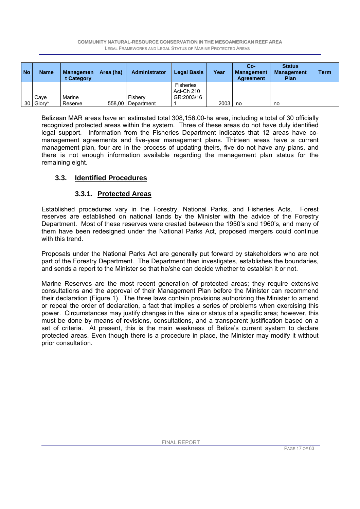| <b>No</b> | <b>Name</b> | <b>Managemen</b><br>t Category | Area (ha) | <b>Administrator</b> | <b>Legal Basis</b>                           | Year | Co-<br><b>Management</b><br><b>Agreement</b> | <b>Status</b><br><b>Management</b><br><b>Plan</b> | Term |
|-----------|-------------|--------------------------------|-----------|----------------------|----------------------------------------------|------|----------------------------------------------|---------------------------------------------------|------|
|           | Cave        | Marine                         |           | Fisherv              | <b>Fisheries</b><br>Act-Ch 210<br>GR:2003/16 |      |                                              |                                                   |      |
|           | 30 Glory*   | Reserve                        |           | 558,00   Department  |                                              | 2003 | no                                           | no                                                |      |

Belizean MAR areas have an estimated total 308,156.00-ha area, including a total of 30 officially recognized protected areas within the system. Three of these areas do not have duly identified legal support. Information from the Fisheries Department indicates that 12 areas have comanagement agreements and five-year management plans. Thirteen areas have a current management plan, four are in the process of updating theirs, five do not have any plans, and there is not enough information available regarding the management plan status for the remaining eight.

### **3.3. Identified Procedures**

### **3.3.1. Protected Areas**

Established procedures vary in the Forestry, National Parks, and Fisheries Acts. Forest reserves are established on national lands by the Minister with the advice of the Forestry Department. Most of these reserves were created between the 1950's and 1960's, and many of them have been redesigned under the National Parks Act, proposed mergers could continue with this trend.

Proposals under the National Parks Act are generally put forward by stakeholders who are not part of the Forestry Department. The Department then investigates, establishes the boundaries, and sends a report to the Minister so that he/she can decide whether to establish it or not.

Marine Reserves are the most recent generation of protected areas; they require extensive consultations and the approval of their Management Plan before the Minister can recommend their declaration (Figure 1). The three laws contain provisions authorizing the Minister to amend or repeal the order of declaration, a fact that implies a series of problems when exercising this power. Circumstances may justify changes in the size or status of a specific area; however, this must be done by means of revisions, consultations, and a transparent justification based on a set of criteria. At present, this is the main weakness of Belize's current system to declare protected areas. Even though there is a procedure in place, the Minister may modify it without prior consultation.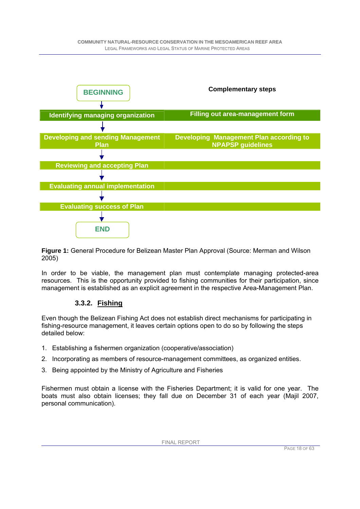

**Figure 1:** General Procedure for Belizean Master Plan Approval (Source: Merman and Wilson 2005)

In order to be viable, the management plan must contemplate managing protected-area resources. This is the opportunity provided to fishing communities for their participation, since management is established as an explicit agreement in the respective Area-Management Plan.

### **3.3.2. Fishing**

Even though the Belizean Fishing Act does not establish direct mechanisms for participating in fishing-resource management, it leaves certain options open to do so by following the steps detailed below:

- 1. Establishing a fishermen organization (cooperative/association)
- 2. Incorporating as members of resource-management committees, as organized entities.
- 3. Being appointed by the Ministry of Agriculture and Fisheries

Fishermen must obtain a license with the Fisheries Department; it is valid for one year. The boats must also obtain licenses; they fall due on December 31 of each year (Majil 2007, personal communication).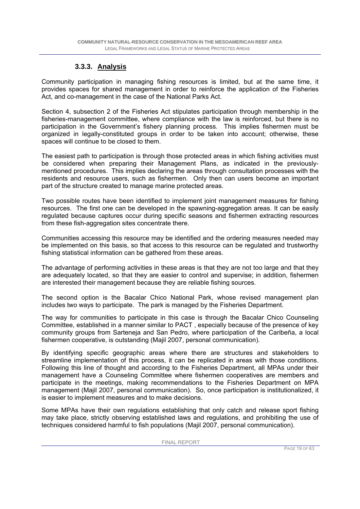### **3.3.3. Analysis**

Community participation in managing fishing resources is limited, but at the same time, it provides spaces for shared management in order to reinforce the application of the Fisheries Act, and co-management in the case of the National Parks Act.

Section 4, subsection 2 of the Fisheries Act stipulates participation through membership in the fisheries-management committee, where compliance with the law is reinforced, but there is no participation in the Government's fishery planning process. This implies fishermen must be organized in legally-constituted groups in order to be taken into account; otherwise, these spaces will continue to be closed to them.

The easiest path to participation is through those protected areas in which fishing activities must be considered when preparing their Management Plans, as indicated in the previouslymentioned procedures. This implies declaring the areas through consultation processes with the residents and resource users, such as fishermen. Only then can users become an important part of the structure created to manage marine protected areas.

Two possible routes have been identified to implement joint management measures for fishing resources. The first one can be developed in the spawning-aggregation areas. It can be easily regulated because captures occur during specific seasons and fishermen extracting resources from these fish-aggregation sites concentrate there.

Communities accessing this resource may be identified and the ordering measures needed may be implemented on this basis, so that access to this resource can be regulated and trustworthy fishing statistical information can be gathered from these areas.

The advantage of performing activities in these areas is that they are not too large and that they are adequately located, so that they are easier to control and supervise; in addition, fishermen are interested their management because they are reliable fishing sources.

The second option is the Bacalar Chico National Park, whose revised management plan includes two ways to participate. The park is managed by the Fisheries Department.

The way for communities to participate in this case is through the Bacalar Chico Counseling Committee, established in a manner similar to PACT , especially because of the presence of key community groups from Sarteneja and San Pedro, where participation of the Caribeña, a local fishermen cooperative, is outstanding (Majil 2007, personal communication).

By identifying specific geographic areas where there are structures and stakeholders to streamline implementation of this process, it can be replicated in areas with those conditions. Following this line of thought and according to the Fisheries Department, all MPAs under their management have a Counseling Committee where fishermen cooperatives are members and participate in the meetings, making recommendations to the Fisheries Department on MPA management (Majil 2007, personal communication). So, once participation is institutionalized, it is easier to implement measures and to make decisions.

Some MPAs have their own regulations establishing that only catch and release sport fishing may take place, strictly observing established laws and regulations, and prohibiting the use of techniques considered harmful to fish populations (Majil 2007, personal communication).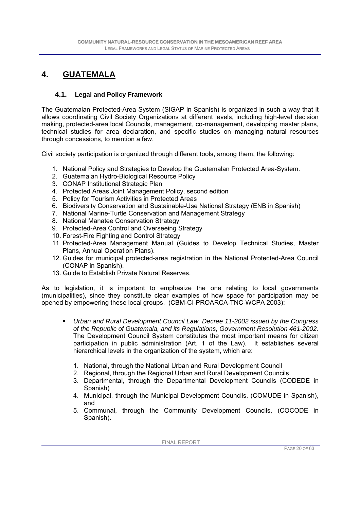### **4. GUATEMALA**

#### **4.1. Legal and Policy Framework**

The Guatemalan Protected-Area System (SIGAP in Spanish) is organized in such a way that it allows coordinating Civil Society Organizations at different levels, including high-level decision making, protected-area local Councils, management, co-management, developing master plans, technical studies for area declaration, and specific studies on managing natural resources through concessions, to mention a few.

Civil society participation is organized through different tools, among them, the following:

- 1. National Policy and Strategies to Develop the Guatemalan Protected Area-System.
- 2. Guatemalan Hydro-Biological Resource Policy
- 3. CONAP Institutional Strategic Plan
- 4. Protected Areas Joint Management Policy, second edition
- 5. Policy for Tourism Activities in Protected Areas
- 6. Biodiversity Conservation and Sustainable-Use National Strategy (ENB in Spanish)
- 7. National Marine-Turtle Conservation and Management Strategy
- 8. National Manatee Conservation Strategy
- 9. Protected-Area Control and Overseeing Strategy
- 10. Forest-Fire Fighting and Control Strategy
- 11. Protected-Area Management Manual (Guides to Develop Technical Studies, Master Plans, Annual Operation Plans).
- 12. Guides for municipal protected-area registration in the National Protected-Area Council (CONAP in Spanish).
- 13. Guide to Establish Private Natural Reserves.

As to legislation, it is important to emphasize the one relating to local governments (municipalities), since they constitute clear examples of how space for participation may be opened by empowering these local groups. (CBM-CI-PROARCA-TNC-WCPA 2003):

- *Urban and Rural Development Council Law, Decree 11-2002 issued by the Congress of the Republic of Guatemala, and its Regulations, Government Resolution 461-2002.*  The Development Council System constitutes the most important means for citizen participation in public administration (Art. 1 of the Law). It establishes several hierarchical levels in the organization of the system, which are:
	- 1. National, through the National Urban and Rural Development Council
	- 2. Regional, through the Regional Urban and Rural Development Councils
	- 3. Departmental, through the Departmental Development Councils (CODEDE in Spanish)
	- 4. Municipal, through the Municipal Development Councils, (COMUDE in Spanish), and
	- 5. Communal, through the Community Development Councils, (COCODE in Spanish).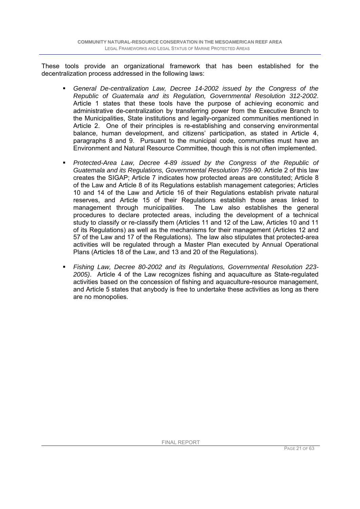These tools provide an organizational framework that has been established for the decentralization process addressed in the following laws:

- *General De-centralization Law, Decree 14-2002 issued by the Congress of the Republic of Guatemala and its Regulation, Governmental Resolution 312-2002*. Article 1 states that these tools have the purpose of achieving economic and administrative de-centralization by transferring power from the Executive Branch to the Municipalities, State institutions and legally-organized communities mentioned in Article 2. One of their principles is re-establishing and conserving environmental balance, human development, and citizens' participation, as stated in Article 4, paragraphs 8 and 9. Pursuant to the municipal code, communities must have an Environment and Natural Resource Committee, though this is not often implemented.
- *Protected-Area Law, Decree 4-89 issued by the Congress of the Republic of Guatemala and its Regulations, Governmental Resolution 759-90*. Article 2 of this law creates the SIGAP; Article 7 indicates how protected areas are constituted; Article 8 of the Law and Article 8 of its Regulations establish management categories; Articles 10 and 14 of the Law and Article 16 of their Regulations establish private natural reserves, and Article 15 of their Regulations establish those areas linked to management through municipalities. The Law also establishes the general procedures to declare protected areas, including the development of a technical study to classify or re-classify them (Articles 11 and 12 of the Law, Articles 10 and 11 of its Regulations) as well as the mechanisms for their management (Articles 12 and 57 of the Law and 17 of the Regulations). The law also stipulates that protected-area activities will be regulated through a Master Plan executed by Annual Operational Plans (Articles 18 of the Law, and 13 and 20 of the Regulations).
- *Fishing Law, Decree 80-2002 and its Regulations, Governmental Resolution 223- 2005)*. Article 4 of the Law recognizes fishing and aquaculture as State-regulated activities based on the concession of fishing and aquaculture-resource management, and Article 5 states that anybody is free to undertake these activities as long as there are no monopolies.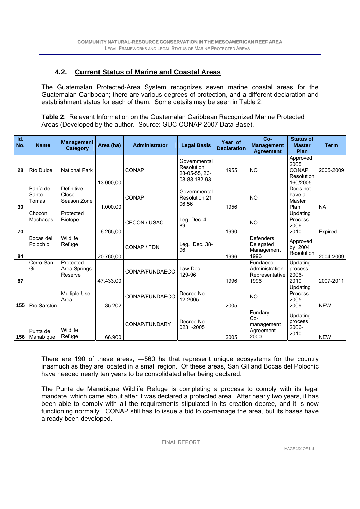### **4.2. Current Status of Marine and Coastal Areas**

The Guatemalan Protected-Area System recognizes seven marine coastal areas for the Guatemalan Caribbean; there are various degrees of protection, and a different declaration and establishment status for each of them. Some details may be seen in Table 2.

**Table 2**: Relevant Information on the Guatemalan Caribbean Recognized Marine Protected Areas (Developed by the author. Source: GUC-CONAP 2007 Data Base).

| Id.<br>No. | <b>Name</b>                 | <b>Management</b><br><b>Category</b> | Area (ha) | <b>Administrator</b> | <b>Legal Basis</b>                                          | Year of<br><b>Declaration</b> | $Co-$<br><b>Management</b><br><b>Agreement</b>       | <b>Status of</b><br><b>Master</b><br>Plan           | <b>Term</b> |
|------------|-----------------------------|--------------------------------------|-----------|----------------------|-------------------------------------------------------------|-------------------------------|------------------------------------------------------|-----------------------------------------------------|-------------|
| 28         | Río Dulce                   | <b>National Park</b>                 | 13.000,00 | CONAP                | Governmental<br>Resolution<br>28-05-55, 23-<br>08-88.182-93 | 1955                          | <b>NO</b>                                            | Approved<br>2005<br>CONAP<br>Resolution<br>160/2005 | 2005-2009   |
| 30         | Bahía de<br>Santo<br>Tomás  | Definitive<br>Close<br>Season Zone   | 1.000,00  | CONAP                | Governmental<br><b>Resolution 21</b><br>06 56               | 1956                          | <b>NO</b>                                            | Does not<br>have a<br>Master<br>Plan                | <b>NA</b>   |
| 70         | Chocón<br>Machacas          | Protected<br><b>Biotope</b>          | 6.265,00  | CECON / USAC         | Leg. Dec. 4-<br>89                                          | 1990                          | <b>NO</b>                                            | Updating<br>Process<br>2006-<br>2010                | Expired     |
| 84         | Bocas del<br>Polochic       | Wildlife<br>Refuge                   | 20.760,00 | CONAP / FDN          | Leg. Dec. 38-<br>96                                         | 1996                          | Defenders<br>Delegated<br>Management<br>1996         | Approved<br>by 2004<br>Resolution                   | 2004-2009   |
| 87         | Cerro San<br>Gil            | Protected<br>Area Springs<br>Reserve | 47.433,00 | CONAP/FUNDAECO       | Law Dec.<br>129-96                                          | 1996                          | Fundaeco<br>Administration<br>Representative<br>1996 | Updating<br>process<br>2006-<br>2010                | 2007-2011   |
| 155        | Río Sarstún                 | <b>Multiple Use</b><br>Area          | 35.202    | CONAP/FUNDAECO       | Decree No.<br>12-2005                                       | 2005                          | N <sub>O</sub>                                       | Updating<br>Process<br>$2005 -$<br>2009             | <b>NEW</b>  |
|            | Punta de<br>156   Manabique | Wildlife<br>Refuge                   | 66.900    | CONAP/FUNDARY        | Decree No.<br>023 -2005                                     | 2005                          | Fundary-<br>$Co-$<br>management<br>Agreement<br>2000 | Updating<br>process<br>2006-<br>2010                | <b>NEW</b>  |

There are 190 of these areas, ―560 ha that represent unique ecosystems for the country inasmuch as they are located in a small region. Of these areas, San Gil and Bocas del Polochic have needed nearly ten years to be consolidated after being declared.

The Punta de Manabique Wildlife Refuge is completing a process to comply with its legal mandate, which came about after it was declared a protected area. After nearly two years, it has been able to comply with all the requirements stipulated in its creation decree, and it is now functioning normally. CONAP still has to issue a bid to co-manage the area, but its bases have already been developed.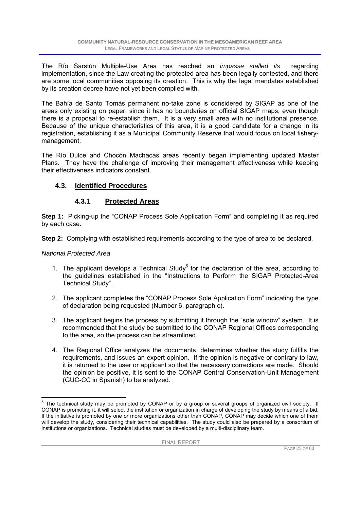The Río Sarstún Multiple-Use Area has reached an *impasse stalled its* regarding implementation, since the Law creating the protected area has been legally contested, and there are some local communities opposing its creation. This is why the legal mandates established by its creation decree have not yet been complied with.

The Bahía de Santo Tomás permanent no-take zone is considered by SIGAP as one of the areas only existing on paper, since it has no boundaries on official SIGAP maps, even though there is a proposal to re-establish them. It is a very small area with no institutional presence. Because of the unique characteristics of this area, it is a good candidate for a change in its registration, establishing it as a Municipal Community Reserve that would focus on local fisherymanagement.

The Río Dulce and Chocón Machacas areas recently began implementing updated Master Plans. They have the challenge of improving their management effectiveness while keeping their effectiveness indicators constant.

### **4.3. Identified Procedures**

### **4.3.1 Protected Areas**

**Step 1:** Picking-up the "CONAP Process Sole Application Form" and completing it as required by each case.

**Step 2:** Complying with established requirements according to the type of area to be declared.

#### *National Protected Area*

- 1. The applicant develops a Technical Study<sup>5</sup> for the declaration of the area, according to the guidelines established in the "Instructions to Perform the SIGAP Protected-Area Technical Study".
- 2. The applicant completes the "CONAP Process Sole Application Form" indicating the type of declaration being requested (Number 6, paragraph c).
- 3. The applicant begins the process by submitting it through the "sole window" system. It is recommended that the study be submitted to the CONAP Regional Offices corresponding to the area, so the process can be streamlined.
- 4. The Regional Office analyzes the documents, determines whether the study fulfills the requirements, and issues an expert opinion. If the opinion is negative or contrary to law, it is returned to the user or applicant so that the necessary corrections are made. Should the opinion be positive, it is sent to the CONAP Central Conservation-Unit Management (GUC-CC in Spanish) to be analyzed.

 5 The technical study may be promoted by CONAP or by a group or several groups of organized civil society. If CONAP is promoting it, it will select the institution or organization in charge of developing the study by means of a bid. If the initiative is promoted by one or more organizations other than CONAP, CONAP may decide which one of them will develop the study, considering their technical capabilities. The study could also be prepared by a consortium of institutions or organizations. Technical studies must be developed by a multi-disciplinary team.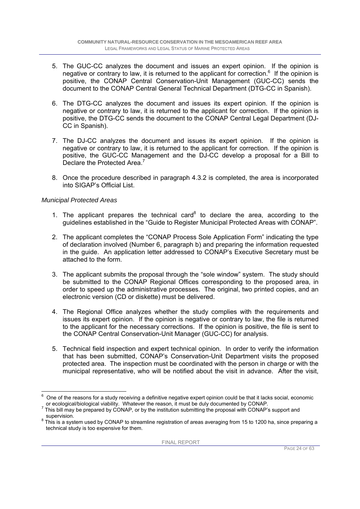- 5. The GUC-CC analyzes the document and issues an expert opinion. If the opinion is negative or contrary to law, it is returned to the applicant for correction.<sup>6</sup> If the opinion is positive, the CONAP Central Conservation-Unit Management (GUC-CC) sends the document to the CONAP Central General Technical Department (DTG-CC in Spanish).
- 6. The DTG-CC analyzes the document and issues its expert opinion. If the opinion is negative or contrary to law, it is returned to the applicant for correction. If the opinion is positive, the DTG-CC sends the document to the CONAP Central Legal Department (DJ-CC in Spanish).
- 7. The DJ-CC analyzes the document and issues its expert opinion. If the opinion is negative or contrary to law, it is returned to the applicant for correction. If the opinion is positive, the GUC-CC Management and the DJ-CC develop a proposal for a Bill to Declare the Protected Area.<sup>7</sup>
- 8. Once the procedure described in paragraph 4.3.2 is completed, the area is incorporated into SIGAP's Official List.

#### *Municipal Protected Areas*

- 1. The applicant prepares the technical card $^8$  to declare the area, according to the guidelines established in the "Guide to Register Municipal Protected Areas with CONAP".
- 2. The applicant completes the "CONAP Process Sole Application Form" indicating the type of declaration involved (Number 6, paragraph b) and preparing the information requested in the guide. An application letter addressed to CONAP's Executive Secretary must be attached to the form.
- 3. The applicant submits the proposal through the "sole window" system. The study should be submitted to the CONAP Regional Offices corresponding to the proposed area, in order to speed up the administrative processes. The original, two printed copies, and an electronic version (CD or diskette) must be delivered.
- 4. The Regional Office analyzes whether the study complies with the requirements and issues its expert opinion. If the opinion is negative or contrary to law, the file is returned to the applicant for the necessary corrections. If the opinion is positive, the file is sent to the CONAP Central Conservation-Unit Manager (GUC-CC) for analysis.
- 5. Technical field inspection and expert technical opinion. In order to verify the information that has been submitted, CONAP's Conservation-Unit Department visits the proposed protected area. The inspection must be coordinated with the person in charge or with the municipal representative, who will be notified about the visit in advance. After the visit,

l 6 One of the reasons for a study receiving a definitive negative expert opinion could be that it lacks social, economic or ecological/biological viability. Whatever the reason, it must be duly documented by CONAP. 7

This bill may be prepared by CONAP, or by the institution submitting the proposal with CONAP's support and supervision.

 $^8$  This is a system used by CONAP to streamline registration of areas averaging from 15 to 1200 ha, since preparing a technical study is too expensive for them.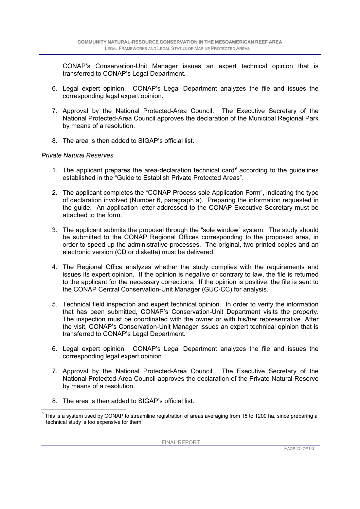CONAP's Conservation-Unit Manager issues an expert technical opinion that is transferred to CONAP's Legal Department.

- 6. Legal expert opinion. CONAP's Legal Department analyzes the file and issues the corresponding legal expert opinion.
- 7. Approval by the National Protected-Area Council. The Executive Secretary of the National Protected-Area Council approves the declaration of the Municipal Regional Park by means of a resolution.
- 8. The area is then added to SIGAP's official list.

#### *Private Natural Reserves*

- 1. The applicant prepares the area-declaration technical card<sup>9</sup> according to the guidelines established in the "Guide to Establish Private Protected Areas".
- 2. The applicant completes the "CONAP Process sole Application Form", indicating the type of declaration involved (Number 6, paragraph a). Preparing the information requested in the guide. An application letter addressed to the CONAP Executive Secretary must be attached to the form.
- 3. The applicant submits the proposal through the "sole window" system. The study should be submitted to the CONAP Regional Offices corresponding to the proposed area, in order to speed up the administrative processes. The original, two printed copies and an electronic version (CD or diskette) must be delivered.
- 4. The Regional Office analyzes whether the study complies with the requirements and issues its expert opinion. If the opinion is negative or contrary to law, the file is returned to the applicant for the necessary corrections. If the opinion is positive, the file is sent to the CONAP Central Conservation-Unit Manager (GUC-CC) for analysis.
- 5. Technical field inspection and expert technical opinion. In order to verify the information that has been submitted, CONAP's Conservation-Unit Department visits the property. The inspection must be coordinated with the owner or with his/her representative. After the visit, CONAP's Conservation-Unit Manager issues an expert technical opinion that is transferred to CONAP's Legal Department.
- 6. Legal expert opinion. CONAP's Legal Department analyzes the file and issues the corresponding legal expert opinion.
- 7. Approval by the National Protected-Area Council. The Executive Secretary of the National Protected-Area Council approves the declaration of the Private Natural Reserve by means of a resolution.
- 8. The area is then added to SIGAP's official list.

 9 This is a system used by CONAP to streamline registration of areas averaging from 15 to 1200 ha, since preparing a technical study is too expensive for them.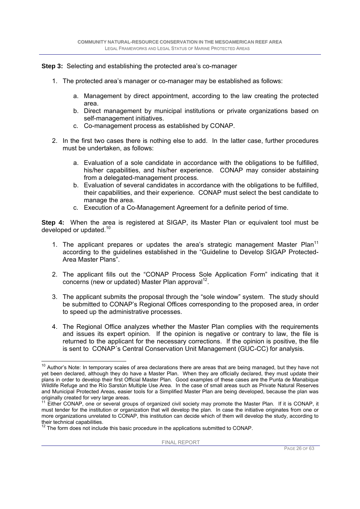**Step 3:** Selecting and establishing the protected area's co-manager

- 1. The protected area's manager or co-manager may be established as follows:
	- a. Management by direct appointment, according to the law creating the protected area.
	- b. Direct management by municipal institutions or private organizations based on self-management initiatives.
	- c. Co-management process as established by CONAP.
- 2. In the first two cases there is nothing else to add. In the latter case, further procedures must be undertaken, as follows:
	- a. Evaluation of a sole candidate in accordance with the obligations to be fulfilled, his/her capabilities, and his/her experience. CONAP may consider abstaining from a delegated-management process.
	- b. Evaluation of several candidates in accordance with the obligations to be fulfilled, their capabilities, and their experience. CONAP must select the best candidate to manage the area.
	- c. Execution of a Co-Management Agreement for a definite period of time.

**Step 4:** When the area is registered at SIGAP, its Master Plan or equivalent tool must be developed or updated.<sup>10</sup>

- 1. The applicant prepares or updates the area's strategic management Master Plan<sup>11</sup> according to the guidelines established in the "Guideline to Develop SIGAP Protected-Area Master Plans".
- 2. The applicant fills out the "CONAP Process Sole Application Form" indicating that it concerns (new or updated) Master Plan approval<sup>12</sup>.
- 3. The applicant submits the proposal through the "sole window" system. The study should be submitted to CONAP's Regional Offices corresponding to the proposed area, in order to speed up the administrative processes.
- 4. The Regional Office analyzes whether the Master Plan complies with the requirements and issues its expert opinion. If the opinion is negative or contrary to law, the file is returned to the applicant for the necessary corrections. If the opinion is positive, the file is sent to CONAP´s Central Conservation Unit Management (GUC-CC) for analysis.

l  $10$  Author's Note: In temporary scales of area declarations there are areas that are being managed, but they have not yet been declared, although they do have a Master Plan. When they are officially declared, they must update their plans in order to develop their first Official Master Plan. Good examples of these cases are the Punta de Manabique Wildlife Refuge and the Río Sarstún Multiple Use Area. In the case of small areas such as Private Natural Reserves and Municipal Protected Areas, easier tools for a Simplified Master Plan are being developed, because the plan was originally created for very large areas.

Either CONAP, one or several groups of organized civil society may promote the Master Plan. If it is CONAP, it must tender for the institution or organization that will develop the plan. In case the initiative originates from one or more organizations unrelated to CONAP, this institution can decide which of them will develop the study, according to their technical capabilities.

 $12$  The form does not include this basic procedure in the applications submitted to CONAP.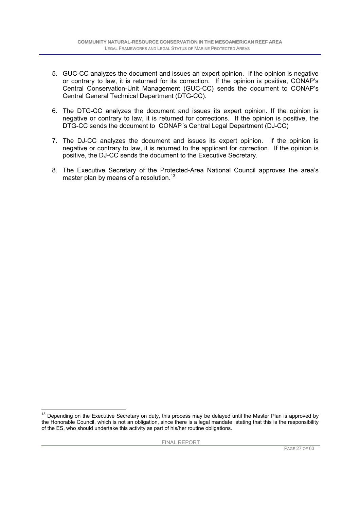- 5. GUC-CC analyzes the document and issues an expert opinion. If the opinion is negative or contrary to law, it is returned for its correction. If the opinion is positive, CONAP's Central Conservation-Unit Management (GUC-CC) sends the document to CONAP's Central General Technical Department (DTG-CC).
- 6. The DTG-CC analyzes the document and issues its expert opinion. If the opinion is negative or contrary to law, it is returned for corrections. If the opinion is positive, the DTG-CC sends the document to CONAP´s Central Legal Department (DJ-CC)
- 7. The DJ-CC analyzes the document and issues its expert opinion. If the opinion is negative or contrary to law, it is returned to the applicant for correction. If the opinion is positive, the DJ-CC sends the document to the Executive Secretary.
- 8. The Executive Secretary of the Protected-Area National Council approves the area's master plan by means of a resolution.<sup>13</sup>

 <sup>13</sup> Depending on the Executive Secretary on duty, this process may be delayed until the Master Plan is approved by the Honorable Council, which is not an obligation, since there is a legal mandate stating that this is the responsibility of the ES, who should undertake this activity as part of his/her routine obligations.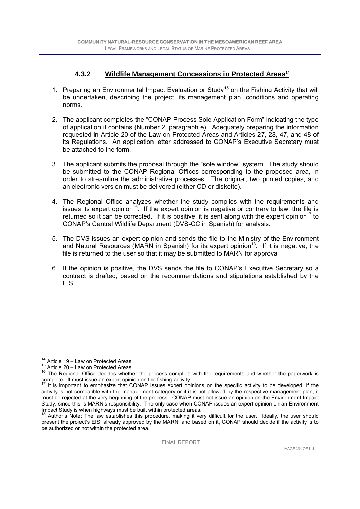### **4.3.2 Wildlife Management Concessions in Protected Areas14**

- 1. Preparing an Environmental Impact Evaluation or Study<sup>15</sup> on the Fishing Activity that will be undertaken, describing the project, its management plan, conditions and operating norms.
- 2. The applicant completes the "CONAP Process Sole Application Form" indicating the type of application it contains (Number 2, paragraph e). Adequately preparing the information requested in Article 20 of the Law on Protected Areas and Articles 27, 28, 47, and 48 of its Regulations. An application letter addressed to CONAP's Executive Secretary must be attached to the form.
- 3. The applicant submits the proposal through the "sole window" system. The study should be submitted to the CONAP Regional Offices corresponding to the proposed area, in order to streamline the administrative processes. The original, two printed copies, and an electronic version must be delivered (either CD or diskette).
- 4. The Regional Office analyzes whether the study complies with the requirements and issues its expert opinion<sup>16</sup>. If the expert opinion is negative or contrary to law, the file is returned so it can be corrected. If it is positive, it is sent along with the expert opinion<sup>17</sup> to CONAP's Central Wildlife Department (DVS-CC in Spanish) for analysis.
- 5. The DVS issues an expert opinion and sends the file to the Ministry of the Environment and Natural Resources (MARN in Spanish) for its expert opinion<sup>18</sup>. If it is negative, the file is returned to the user so that it may be submitted to MARN for approval.
- 6. If the opinion is positive, the DVS sends the file to CONAP's Executive Secretary so a contract is drafted, based on the recommendations and stipulations established by the EIS.

 $14$  Article 19 - Law on Protected Areas

<sup>15</sup> Article 20 – Law on Protected Areas<br>16 Article 20 – Law on Protected Areas<br>16 The Regional Office decides whether the process complies with the requirements and whether the paperwork is<br>complete. It must issue an exper

It is important to emphasize that CONAP issues expert opinions on the specific activity to be developed. If the activity is not compatible with the management category or if it is not allowed by the respective management plan, it must be rejected at the very beginning of the process. CONAP must not issue an opinion on the Environment Impact Study, since this is MARN's responsibility. The only case when CONAP issues an expert opinion on an Environment Impact Study is when highways must be built within protected areas.

Author's Note: The law establishes this procedure, making it very difficult for the user. Ideally, the user should present the project's EIS, already approved by the MARN, and based on it, CONAP should decide if the activity is to be authorized or not within the protected area.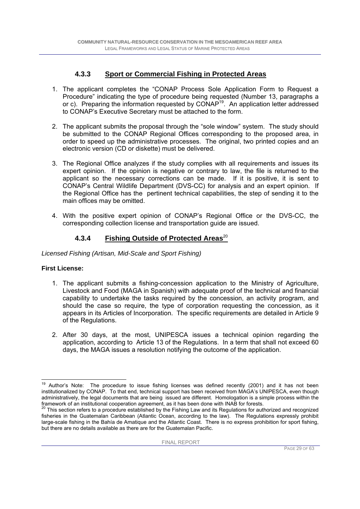### **4.3.3 Sport or Commercial Fishing in Protected Areas**

- 1. The applicant completes the "CONAP Process Sole Application Form to Request a Procedure" indicating the type of procedure being requested (Number 13, paragraphs a or c). Preparing the information requested by CONAP19. An application letter addressed to CONAP's Executive Secretary must be attached to the form.
- 2. The applicant submits the proposal through the "sole window" system. The study should be submitted to the CONAP Regional Offices corresponding to the proposed area, in order to speed up the administrative processes. The original, two printed copies and an electronic version (CD or diskette) must be delivered.
- 3. The Regional Office analyzes if the study complies with all requirements and issues its expert opinion. If the opinion is negative or contrary to law, the file is returned to the applicant so the necessary corrections can be made. If it is positive, it is sent to CONAP's Central Wildlife Department (DVS-CC) for analysis and an expert opinion. If the Regional Office has the pertinent technical capabilities, the step of sending it to the main offices may be omitted.
- 4. With the positive expert opinion of CONAP's Regional Office or the DVS-CC, the corresponding collection license and transportation guide are issued.

### **4.3.4 Fishing Outside of Protected Areas**20

*Licensed Fishing (Artisan, Mid-Scale and Sport Fishing)* 

#### **First License:**

- 1. The applicant submits a fishing-concession application to the Ministry of Agriculture, Livestock and Food (MAGA in Spanish) with adequate proof of the technical and financial capability to undertake the tasks required by the concession, an activity program, and should the case so require, the type of corporation requesting the concession, as it appears in its Articles of Incorporation. The specific requirements are detailed in Article 9 of the Regulations.
- 2. After 30 days, at the most, UNIPESCA issues a technical opinion regarding the application, according to Article 13 of the Regulations. In a term that shall not exceed 60 days, the MAGA issues a resolution notifying the outcome of the application.

<sup>19</sup> Author's Note: The procedure to issue fishing licenses was defined recently (2001) and it has not been institutionalized by CONAP. To that end, technical support has been received from MAGA's UNIPESCA, even though administratively, the legal documents that are being issued are different. Homologation is a simple process within the

framework of an institutional cooperation agreement, as it has been done with INAB for forests.<br><sup>20</sup> This section refers to a procedure established by the Fishing Law and its Regulations for authorized and recognized fisheries in the Guatemalan Caribbean (Atlantic Ocean, according to the law). The Regulations expressly prohibit large-scale fishing in the Bahía de Amatique and the Atlantic Coast. There is no express prohibition for sport fishing, but there are no details available as there are for the Guatemalan Pacific.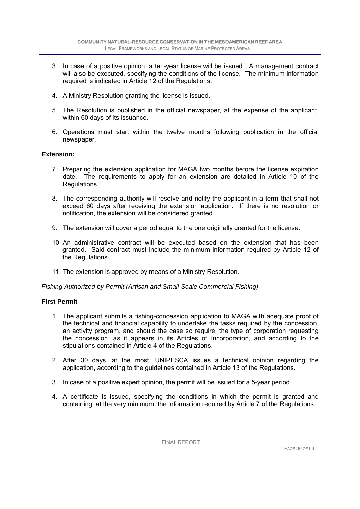- 3. In case of a positive opinion, a ten-year license will be issued. A management contract will also be executed, specifying the conditions of the license. The minimum information required is indicated in Article 12 of the Regulations.
- 4. A Ministry Resolution granting the license is issued.
- 5. The Resolution is published in the official newspaper, at the expense of the applicant, within 60 days of its issuance.
- 6. Operations must start within the twelve months following publication in the official newspaper.

#### **Extension:**

- 7. Preparing the extension application for MAGA two months before the license expiration date. The requirements to apply for an extension are detailed in Article 10 of the Regulations.
- 8. The corresponding authority will resolve and notify the applicant in a term that shall not exceed 60 days after receiving the extension application. If there is no resolution or notification, the extension will be considered granted.
- 9. The extension will cover a period equal to the one originally granted for the license.
- 10. An administrative contract will be executed based on the extension that has been granted. Said contract must include the minimum information required by Article 12 of the Regulations.
- 11. The extension is approved by means of a Ministry Resolution.

*Fishing Authorized by Permit (Artisan and Small-Scale Commercial Fishing)* 

#### **First Permit**

- 1. The applicant submits a fishing-concession application to MAGA with adequate proof of the technical and financial capability to undertake the tasks required by the concession, an activity program, and should the case so require, the type of corporation requesting the concession, as it appears in its Articles of Incorporation, and according to the stipulations contained in Article 4 of the Regulations.
- 2. After 30 days, at the most, UNIPESCA issues a technical opinion regarding the application, according to the guidelines contained in Article 13 of the Regulations.
- 3. In case of a positive expert opinion, the permit will be issued for a 5-year period.
- 4. A certificate is issued, specifying the conditions in which the permit is granted and containing, at the very minimum, the information required by Article 7 of the Regulations.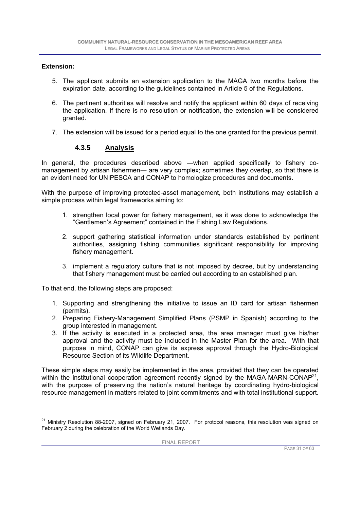#### **Extension:**

- 5. The applicant submits an extension application to the MAGA two months before the expiration date, according to the guidelines contained in Article 5 of the Regulations.
- 6. The pertinent authorities will resolve and notify the applicant within 60 days of receiving the application. If there is no resolution or notification, the extension will be considered granted.
- 7. The extension will be issued for a period equal to the one granted for the previous permit.

#### **4.3.5 Analysis**

In general, the procedures described above ―when applied specifically to fishery comanagement by artisan fishermen― are very complex; sometimes they overlap, so that there is an evident need for UNIPESCA and CONAP to homologize procedures and documents.

With the purpose of improving protected-asset management, both institutions may establish a simple process within legal frameworks aiming to:

- 1. strengthen local power for fishery management, as it was done to acknowledge the "Gentlemen's Agreement" contained in the Fishing Law Regulations.
- 2. support gathering statistical information under standards established by pertinent authorities, assigning fishing communities significant responsibility for improving fishery management.
- 3. implement a regulatory culture that is not imposed by decree, but by understanding that fishery management must be carried out according to an established plan.

To that end, the following steps are proposed:

- 1. Supporting and strengthening the initiative to issue an ID card for artisan fishermen (permits).
- 2. Preparing Fishery-Management Simplified Plans (PSMP in Spanish) according to the group interested in management.
- 3. If the activity is executed in a protected area, the area manager must give his/her approval and the activity must be included in the Master Plan for the area. With that purpose in mind, CONAP can give its express approval through the Hydro-Biological Resource Section of its Wildlife Department.

These simple steps may easily be implemented in the area, provided that they can be operated within the institutional cooperation agreement recently signed by the MAGA-MARN-CONAP<sup>21</sup>, with the purpose of preserving the nation's natural heritage by coordinating hydro-biological resource management in matters related to joint commitments and with total institutional support.

 $\overline{a}$ <sup>21</sup> Ministry Resolution 88-2007, signed on February 21, 2007. For protocol reasons, this resolution was signed on February 2 during the celebration of the World Wetlands Day.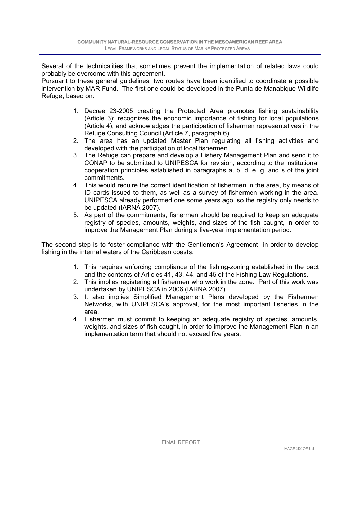Several of the technicalities that sometimes prevent the implementation of related laws could probably be overcome with this agreement.

Pursuant to these general guidelines, two routes have been identified to coordinate a possible intervention by MAR Fund. The first one could be developed in the Punta de Manabique Wildlife Refuge, based on:

- 1. Decree 23-2005 creating the Protected Area promotes fishing sustainability (Article 3); recognizes the economic importance of fishing for local populations (Article 4), and acknowledges the participation of fishermen representatives in the Refuge Consulting Council (Article 7, paragraph 6).
- 2. The area has an updated Master Plan regulating all fishing activities and developed with the participation of local fishermen.
- 3. The Refuge can prepare and develop a Fishery Management Plan and send it to CONAP to be submitted to UNIPESCA for revision, according to the institutional cooperation principles established in paragraphs a, b, d, e, g, and s of the joint commitments.
- 4. This would require the correct identification of fishermen in the area, by means of ID cards issued to them, as well as a survey of fishermen working in the area. UNIPESCA already performed one some years ago, so the registry only needs to be updated (IARNA 2007).
- 5. As part of the commitments, fishermen should be required to keep an adequate registry of species, amounts, weights, and sizes of the fish caught, in order to improve the Management Plan during a five-year implementation period.

The second step is to foster compliance with the Gentlemen's Agreement in order to develop fishing in the internal waters of the Caribbean coasts:

- 1. This requires enforcing compliance of the fishing-zoning established in the pact and the contents of Articles 41, 43, 44, and 45 of the Fishing Law Regulations.
- 2. This implies registering all fishermen who work in the zone. Part of this work was undertaken by UNIPESCA in 2006 (IARNA 2007).
- 3. It also implies Simplified Management Plans developed by the Fishermen Networks, with UNIPESCA's approval, for the most important fisheries in the area.
- 4. Fishermen must commit to keeping an adequate registry of species, amounts, weights, and sizes of fish caught, in order to improve the Management Plan in an implementation term that should not exceed five years.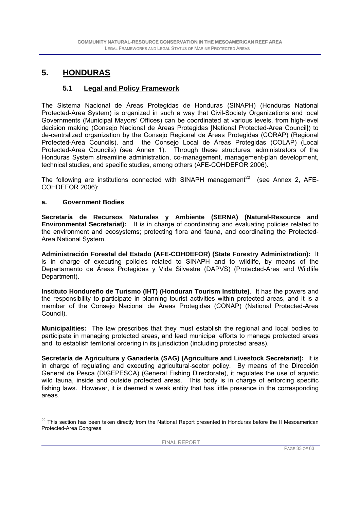### **5. HONDURAS**

### **5.1 Legal and Policy Framework**

The Sistema Nacional de Áreas Protegidas de Honduras (SINAPH) (Honduras National Protected-Area System) is organized in such a way that Civil-Society Organizations and local Governments (Municipal Mayors' Offices) can be coordinated at various levels, from high-level decision making (Consejo Nacional de Áreas Protegidas [National Protected-Area Council]) to de-centralized organization by the Consejo Regional de Áreas Protegidas (CORAP) (Regional Protected-Area Councils), and the Consejo Local de Áreas Protegidas (COLAP) (Local Protected-Area Councils) (see Annex 1). Through these structures, administrators of the Honduras System streamline administration, co-management, management-plan development, technical studies, and specific studies, among others (AFE-COHDEFOR 2006).

The following are institutions connected with SINAPH management<sup>22</sup> (see Annex 2, AFE-COHDEFOR 2006):

#### **a. Government Bodies**

**Secretaría de Recursos Naturales y Ambiente (SERNA) (Natural-Resource and Environmental Secretariat):** It is in charge of coordinating and evaluating policies related to the environment and ecosystems; protecting flora and fauna, and coordinating the Protected-Area National System.

**Administración Forestal del Estado (AFE-COHDEFOR) (State Forestry Administration):** It is in charge of executing policies related to SINAPH and to wildlife, by means of the Departamento de Áreas Protegidas y Vida Silvestre (DAPVS) (Protected-Area and Wildlife Department).

**Instituto Hondureño de Turismo (IHT) (Honduran Tourism Institute)**. It has the powers and the responsibility to participate in planning tourist activities within protected areas, and it is a member of the Consejo Nacional de Áreas Protegidas (CONAP) (National Protected-Area Council).

**Municipalities:** The law prescribes that they must establish the regional and local bodies to participate in managing protected areas, and lead municipal efforts to manage protected areas and to establish territorial ordering in its jurisdiction (including protected areas).

**Secretaría de Agricultura y Ganadería (SAG) (Agriculture and Livestock Secretariat):** It is in charge of regulating and executing agricultural-sector policy. By means of the Dirección General de Pesca (DIGEPESCA) (General Fishing Directorate), it regulates the use of aquatic wild fauna, inside and outside protected areas. This body is in charge of enforcing specific fishing laws. However, it is deemed a weak entity that has little presence in the corresponding areas.

 $\overline{a}$  $22$  This section has been taken directly from the National Report presented in Honduras before the II Mesoamerican Protected-Area Congress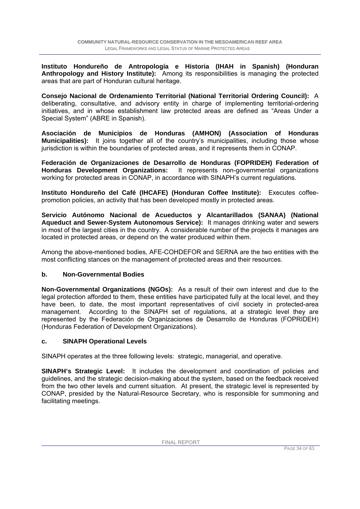**Instituto Hondureño de Antropología e Historia (IHAH in Spanish) (Honduran Anthropology and History Institute):** Among its responsibilities is managing the protected areas that are part of Honduran cultural heritage.

**Consejo Nacional de Ordenamiento Territorial (National Territorial Ordering Council):** A deliberating, consultative, and advisory entity in charge of implementing territorial-ordering initiatives, and in whose establishment law protected areas are defined as "Areas Under a Special System" (ABRE in Spanish).

**Asociación de Municipios de Honduras (AMHON) (Association of Honduras Municipalities):** It joins together all of the country's municipalities, including those whose jurisdiction is within the boundaries of protected areas, and it represents them in CONAP.

**Federación de Organizaciones de Desarrollo de Honduras (FOPRIDEH) Federation of Honduras Development Organizations:** It represents non-governmental organizations working for protected areas in CONAP, in accordance with SINAPH's current regulations.

**Instituto Hondureño del Café (IHCAFE) (Honduran Coffee Institute):** Executes coffeepromotion policies, an activity that has been developed mostly in protected areas.

**Servicio Autónomo Nacional de Acueductos y Alcantarillados (SANAA) (National Aqueduct and Sewer-System Autonomous Service):** It manages drinking water and sewers in most of the largest cities in the country. A considerable number of the projects it manages are located in protected areas, or depend on the water produced within them.

Among the above-mentioned bodies, AFE-COHDEFOR and SERNA are the two entities with the most conflicting stances on the management of protected areas and their resources.

#### **b. Non-Governmental Bodies**

**Non-Governmental Organizations (NGOs):** As a result of their own interest and due to the legal protection afforded to them, these entities have participated fully at the local level, and they have been, to date, the most important representatives of civil society in protected-area management. According to the SINAPH set of regulations, at a strategic level they are represented by the Federación de Organizaciones de Desarrollo de Honduras (FOPRIDEH) (Honduras Federation of Development Organizations).

#### **c. SINAPH Operational Levels**

SINAPH operates at the three following levels: strategic, managerial, and operative.

**SINAPH's Strategic Level:** It includes the development and coordination of policies and guidelines, and the strategic decision-making about the system, based on the feedback received from the two other levels and current situation. At present, the strategic level is represented by CONAP, presided by the Natural-Resource Secretary, who is responsible for summoning and facilitating meetings.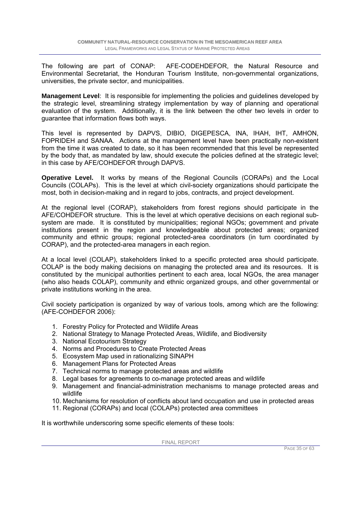The following are part of CONAP: AFE-CODEHDEFOR, the Natural Resource and Environmental Secretariat, the Honduran Tourism Institute, non-governmental organizations, universities, the private sector, and municipalities.

**Management Level**: It is responsible for implementing the policies and guidelines developed by the strategic level, streamlining strategy implementation by way of planning and operational evaluation of the system. Additionally, it is the link between the other two levels in order to guarantee that information flows both ways.

This level is represented by DAPVS, DIBIO, DIGEPESCA, INA, IHAH, IHT, AMHON, FOPRIDEH and SANAA. Actions at the management level have been practically non-existent from the time it was created to date, so it has been recommended that this level be represented by the body that, as mandated by law, should execute the policies defined at the strategic level; in this case by AFE/COHDEFOR through DAPVS.

**Operative Level.** It works by means of the Regional Councils (CORAPs) and the Local Councils (COLAPs). This is the level at which civil-society organizations should participate the most, both in decision-making and in regard to jobs, contracts, and project development.

At the regional level (CORAP), stakeholders from forest regions should participate in the AFE/COHDEFOR structure. This is the level at which operative decisions on each regional subsystem are made. It is constituted by municipalities; regional NGOs; government and private institutions present in the region and knowledgeable about protected areas; organized community and ethnic groups; regional protected-area coordinators (in turn coordinated by CORAP), and the protected-area managers in each region.

At a local level (COLAP), stakeholders linked to a specific protected area should participate. COLAP is the body making decisions on managing the protected area and its resources. It is constituted by the municipal authorities pertinent to each area, local NGOs, the area manager (who also heads COLAP), community and ethnic organized groups, and other governmental or private institutions working in the area.

Civil society participation is organized by way of various tools, among which are the following: (AFE-COHDEFOR 2006):

- 1. Forestry Policy for Protected and Wildlife Areas
- 2. National Strategy to Manage Protected Areas, Wildlife, and Biodiversity
- 3. National Ecotourism Strategy
- 4. Norms and Procedures to Create Protected Areas
- 5. Ecosystem Map used in rationalizing SINAPH
- 6. Management Plans for Protected Areas
- 7. Technical norms to manage protected areas and wildlife
- 8. Legal bases for agreements to co-manage protected areas and wildlife
- 9. Management and financial-administration mechanisms to manage protected areas and wildlife
- 10. Mechanisms for resolution of conflicts about land occupation and use in protected areas
- 11. Regional (CORAPs) and local (COLAPs) protected area committees

It is worthwhile underscoring some specific elements of these tools: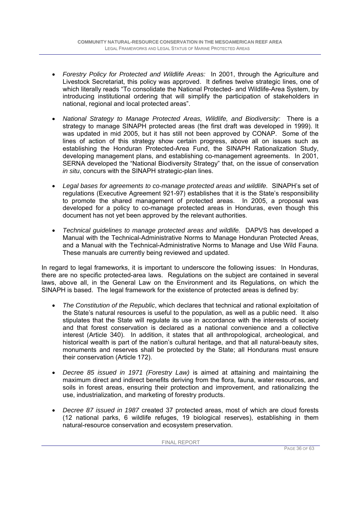- *Forestry Policy for Protected and Wildlife Areas:* In 2001, through the Agriculture and Livestock Secretariat, this policy was approved. It defines twelve strategic lines, one of which literally reads "To consolidate the National Protected- and Wildlife-Area System, by introducing institutional ordering that will simplify the participation of stakeholders in national, regional and local protected areas".
- *National Strategy to Manage Protected Areas, Wildlife, and Biodiversity:* There is a strategy to manage SINAPH protected areas (the first draft was developed in 1999). It was updated in mid 2005, but it has still not been approved by CONAP. Some of the lines of action of this strategy show certain progress, above all on issues such as establishing the Honduran Protected-Area Fund, the SINAPH Rationalization Study, developing management plans, and establishing co-management agreements. In 2001, SERNA developed the "National Biodiversity Strategy" that, on the issue of conservation *in situ*, concurs with the SINAPH strategic-plan lines.
- *Legal bases for agreements to co-manage protected areas and wildlife.* SINAPH's set of regulations (Executive Agreement 921-97) establishes that it is the State's responsibility to promote the shared management of protected areas. In 2005, a proposal was developed for a policy to co-manage protected areas in Honduras, even though this document has not yet been approved by the relevant authorities.
- *Technical guidelines to manage protected areas and wildlife.* DAPVS has developed a Manual with the Technical-Administrative Norms to Manage Honduran Protected Areas, and a Manual with the Technical-Administrative Norms to Manage and Use Wild Fauna. These manuals are currently being reviewed and updated.

In regard to legal frameworks, it is important to underscore the following issues: In Honduras, there are no specific protected-area laws. Regulations on the subject are contained in several laws, above all, in the General Law on the Environment and its Regulations, on which the SINAPH is based. The legal framework for the existence of protected areas is defined by:

- *The Constitution of the Republic*, which declares that technical and rational exploitation of the State's natural resources is useful to the population, as well as a public need. It also stipulates that the State will regulate its use in accordance with the interests of society and that forest conservation is declared as a national convenience and a collective interest (Article 340). In addition, it states that all anthropological, archeological, and historical wealth is part of the nation's cultural heritage, and that all natural-beauty sites, monuments and reserves shall be protected by the State; all Hondurans must ensure their conservation (Article 172).
- *Decree 85 issued in 1971 (Forestry Law)* is aimed at attaining and maintaining the maximum direct and indirect benefits deriving from the flora, fauna, water resources, and soils in forest areas, ensuring their protection and improvement, and rationalizing the use, industrialization, and marketing of forestry products.
- *Decree 87 issued in 1987* created 37 protected areas, most of which are cloud forests (12 national parks, 6 wildlife refuges, 19 biological reserves), establishing in them natural-resource conservation and ecosystem preservation.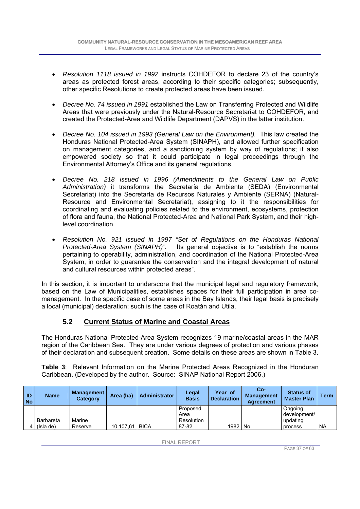- *Resolution 1118 issued in 1992* instructs COHDEFOR to declare 23 of the country's areas as protected forest areas, according to their specific categories; subsequently, other specific Resolutions to create protected areas have been issued.
- *Decree No. 74 issued in 1991* established the Law on Transferring Protected and Wildlife Areas that were previously under the Natural-Resource Secretariat to COHDEFOR, and created the Protected-Area and Wildlife Department (DAPVS) in the latter institution.
- *Decree No. 104 issued in 1993 (General Law on the Environment).* This law created the Honduras National Protected-Area System (SINAPH), and allowed further specification on management categories, and a sanctioning system by way of regulations; it also empowered society so that it could participate in legal proceedings through the Environmental Attorney's Office and its general regulations.
- *Decree No. 218 issued in 1996 (Amendments to the General Law on Public Administration)* it transforms the Secretaría de Ambiente (SEDA) (Environmental Secretariat) into the Secretaría de Recursos Naturales y Ambiente (SERNA) (Natural-Resource and Environmental Secretariat), assigning to it the responsibilities for coordinating and evaluating policies related to the environment, ecosystems, protection of flora and fauna, the National Protected-Area and National Park System, and their highlevel coordination.
- *Resolution No. 921 issued in 1997 "Set of Regulations on the Honduras National Protected-Area System (SINAPH)".* Its general objective is to "establish the norms pertaining to operability, administration, and coordination of the National Protected-Area System, in order to guarantee the conservation and the integral development of natural and cultural resources within protected areas".

In this section, it is important to underscore that the municipal legal and regulatory framework, based on the Law of Municipalities, establishes spaces for their full participation in area comanagement. In the specific case of some areas in the Bay Islands, their legal basis is precisely a local (municipal) declaration; such is the case of Roatán and Utila.

### **5.2 Current Status of Marine and Coastal Areas**

The Honduras National Protected-Area System recognizes 19 marine/coastal areas in the MAR region of the Caribbean Sea. They are under various degrees of protection and various phases of their declaration and subsequent creation. Some details on these areas are shown in Table 3.

**Table 3**: Relevant Information on the Marine Protected Areas Recognized in the Honduran Caribbean. (Developed by the author. Source: SINAP National Report 2006.)

| ID<br><b>No</b> | <b>Name</b>      | <b>Management</b><br><b>Category</b> | Area (ha) | <b>Administrator</b> | Legal<br><b>Basis</b> | Year of<br><b>Declaration</b> | Co-<br><b>Management</b><br><b>Agreement</b> | <b>Status of</b><br><b>Master Plan</b> | Term      |
|-----------------|------------------|--------------------------------------|-----------|----------------------|-----------------------|-------------------------------|----------------------------------------------|----------------------------------------|-----------|
|                 |                  |                                      |           |                      | Proposed<br>Area      |                               |                                              | Ongoing<br>development/                |           |
|                 | <b>Barbareta</b> | Marine                               |           |                      | Resolution            |                               |                                              | updating                               |           |
|                 | (Isla de)        | Reserve                              | 10.107.61 | <b>BICA</b>          | 87-82                 | 1982 No                       |                                              | process                                | <b>NA</b> |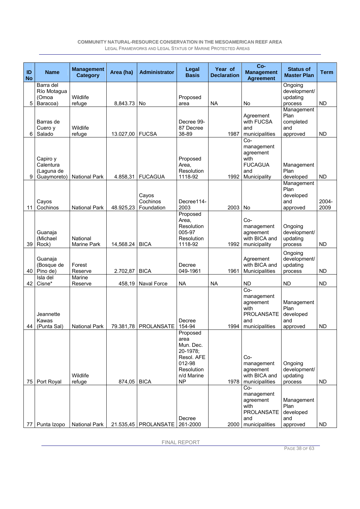| ID<br><b>No</b> | <b>Name</b>                                        | <b>Management</b><br><b>Category</b> | Area (ha) | <b>Administrator</b>            | Legal<br><b>Basis</b>                                                                               | Year of<br><b>Declaration</b> | Co-<br><b>Management</b><br><b>Agreement</b>                                           | <b>Status of</b><br><b>Master Plan</b>             | <b>Term</b>   |
|-----------------|----------------------------------------------------|--------------------------------------|-----------|---------------------------------|-----------------------------------------------------------------------------------------------------|-------------------------------|----------------------------------------------------------------------------------------|----------------------------------------------------|---------------|
| 5               | Barra del<br>Río Motagua<br>(Omoa<br>Baracoa)      | Wildlife<br>refuge                   | 8,843.73  | No                              | Proposed<br>area                                                                                    | <b>NA</b>                     | No                                                                                     | Ongoing<br>development/<br>updating<br>process     | <b>ND</b>     |
| 6               | Barras de<br>Cuero y<br>Salado                     | Wildlife<br>refuge                   | 13.027,00 | <b>FUCSA</b>                    | Decree 99-<br>87 Decree<br>38-89                                                                    | 1987                          | Agreement<br>with FUCSA<br>and<br>municipalities                                       | Management<br>Plan<br>completed<br>and<br>approved | <b>ND</b>     |
| 9               | Capiro y<br>Calentura<br>(Laguna de<br>Guaymoreto) | <b>National Park</b>                 | 4.858,31  | <b>FUCAGUA</b>                  | Proposed<br>Area,<br>Resolution<br>1118-92                                                          | 1992                          | Co-<br>management<br>agreement<br>with<br><b>FUCAGUA</b><br>and<br>Municipality        | Management<br>Plan<br>developed                    | <b>ND</b>     |
| 11              | Cayos<br>Cochinos                                  | <b>National Park</b>                 | 48.925,23 | Cayos<br>Cochinos<br>Foundation | Decree114-<br>2003                                                                                  | 2003                          | No                                                                                     | Management<br>Plan<br>developed<br>and<br>approved | 2004-<br>2009 |
| 39              | Guanaja<br>(Michael<br>Rock)                       | National<br>Marine Park              | 14,568.24 | <b>BICA</b>                     | Proposed<br>Area,<br>Resolution<br>005-97<br>Resolution<br>1118-92                                  | 1992                          | Co-<br>management<br>agreement<br>with BICA and<br>municipality                        | Ongoing<br>development/<br>updating<br>process     | <b>ND</b>     |
| 40              | Guanaja<br>(Bosque de<br>Pino de)                  | Forest<br>Reserve                    | 2.702,87  | <b>BICA</b>                     | Decree<br>049-1961                                                                                  | 1961                          | Agreement<br>with BICA and<br>Municipalities                                           | Ongoing<br>development/<br>updating<br>process     | <b>ND</b>     |
| 42              | Isla del<br>Cisne*                                 | Marine<br>Reserve                    | 458,19    | Naval Force                     | <b>NA</b>                                                                                           | <b>NA</b>                     | <b>ND</b>                                                                              | <b>ND</b>                                          | <b>ND</b>     |
| 44              | Jeannette<br>Kawas<br>(Punta Sal)                  | <b>National Park</b>                 | 79.381,78 | PROLANSATE                      | Decree<br>154-94                                                                                    | 1994                          | Co-<br>management<br>agreement<br>with<br><b>PROLANSATE</b><br>and<br>municipalities   | Management<br>Plan<br>developed<br>and<br>approved | <b>ND</b>     |
| 75              | Port Royal                                         | Wildlife<br>refuge                   | 874,05    | <b>BICA</b>                     | Proposed<br>area<br>Mun. Dec.<br>20-1978;<br>Resol. AFE<br>012-98<br>Resolution<br>n/d Marine<br>NP | 1978                          | Co-<br>management<br>agreement<br>with BICA and<br>municipalities                      | Ongoing<br>development/<br>updating<br>process     | ND            |
|                 | 77 Punta Izopo                                     | National Park                        |           | 21.535,45   PROLANSATE          | Decree<br>261-2000                                                                                  | 2000                          | $Co-$<br>management<br>agreement<br>with<br><b>PROLANSATE</b><br>and<br>municipalities | Management<br>Plan<br>developed<br>and<br>approved | <b>ND</b>     |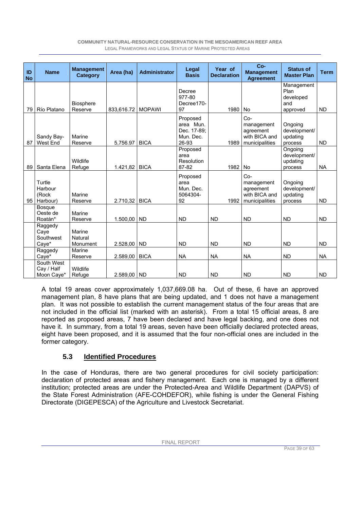| ID<br><b>No</b> | <b>Name</b>                            | <b>Management</b><br>Category | Area (ha)   | <b>Administrator</b> | Legal<br><b>Basis</b>                                      | Year of<br><b>Declaration</b> | $Co-$<br><b>Management</b><br><b>Agreement</b>                      | <b>Status of</b><br><b>Master Plan</b>             | <b>Term</b> |
|-----------------|----------------------------------------|-------------------------------|-------------|----------------------|------------------------------------------------------------|-------------------------------|---------------------------------------------------------------------|----------------------------------------------------|-------------|
| 79              | Río Platano                            | <b>Biosphere</b><br>Reserve   | 833,616.72  | <b>MOPAWI</b>        | Decree<br>977-80<br>Decree170-<br>97                       | 1980                          | <b>No</b>                                                           | Management<br>Plan<br>developed<br>and<br>approved | <b>ND</b>   |
| 87              | Sandy Bay-<br>West End                 | Marine<br>Reserve             | 5.756.97    | <b>BICA</b>          | Proposed<br>area Mun.<br>Dec. 17-89;<br>Mun. Dec.<br>26-93 | 1989                          | Co-<br>management<br>agreement<br>with BICA and<br>municipalities   | Ongoing<br>development/<br>updating<br>process     | <b>ND</b>   |
| 89              | Santa Elena                            | Wildlife<br>Refuge            | 1.421,82    | <b>BICA</b>          | Proposed<br>area<br>Resolution<br>87-82                    | 1982                          | <b>No</b>                                                           | Ongoing<br>development/<br>updating<br>process     | <b>NA</b>   |
| 95              | Turtle<br>Harbour<br>(Rock<br>Harbour) | Marine<br>Reserve             | 2.710,32    | <b>BICA</b>          | Proposed<br>area<br>Mun. Dec.<br>5064304-<br>92            | 1992                          | $Co-$<br>management<br>agreement<br>with BICA and<br>municipalities | Ongoing<br>development/<br>updating<br>process     | <b>ND</b>   |
|                 | Bosque<br>Oeste de<br>Roatán*          | Marine<br>Reserve             | 1.500,00    | <b>ND</b>            | <b>ND</b>                                                  | <b>ND</b>                     | <b>ND</b>                                                           | <b>ND</b>                                          | <b>ND</b>   |
|                 | Raggedy<br>Cave<br>Southwest<br>Caye*  | Marine<br>Natural<br>Monument | 2.528,00    | <b>ND</b>            | <b>ND</b>                                                  | <b>ND</b>                     | <b>ND</b>                                                           | <b>ND</b>                                          | <b>ND</b>   |
|                 | Raggedy<br>Caye*                       | Marine<br>Reserve             | 2.589,00    | <b>BICA</b>          | <b>NA</b>                                                  | <b>NA</b>                     | <b>NA</b>                                                           | <b>ND</b>                                          | <b>NA</b>   |
|                 | South West<br>Cay / Half<br>Moon Caye* | Wildlife<br>Refuge            | 2.589,00 ND |                      | <b>ND</b>                                                  | <b>ND</b>                     | <b>ND</b>                                                           | <b>ND</b>                                          | <b>ND</b>   |

A total 19 areas cover approximately 1,037,669.08 ha. Out of these, 6 have an approved management plan, 8 have plans that are being updated, and 1 does not have a management plan. It was not possible to establish the current management status of the four areas that are not included in the official list (marked with an asterisk). From a total 15 official areas, 8 are reported as proposed areas, 7 have been declared and have legal backing, and one does not have it. In summary, from a total 19 areas, seven have been officially declared protected areas, eight have been proposed, and it is assumed that the four non-official ones are included in the former category.

### **5.3 Identified Procedures**

In the case of Honduras, there are two general procedures for civil society participation: declaration of protected areas and fishery management. Each one is managed by a different institution; protected areas are under the Protected-Area and Wildlife Department (DAPVS) of the State Forest Administration (AFE-COHDEFOR), while fishing is under the General Fishing Directorate (DIGEPESCA) of the Agriculture and Livestock Secretariat.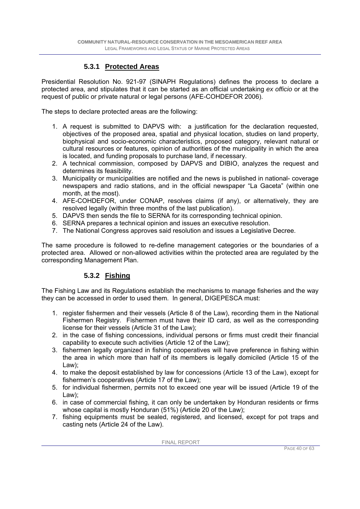### **5.3.1 Protected Areas**

Presidential Resolution No. 921-97 (SINAPH Regulations) defines the process to declare a protected area, and stipulates that it can be started as an official undertaking *ex officio* or at the request of public or private natural or legal persons (AFE-COHDEFOR 2006).

The steps to declare protected areas are the following:

- 1. A request is submitted to DAPVS with: a justification for the declaration requested, objectives of the proposed area, spatial and physical location, studies on land property, biophysical and socio-economic characteristics, proposed category, relevant natural or cultural resources or features, opinion of authorities of the municipality in which the area is located, and funding proposals to purchase land, if necessary.
- 2. A technical commission, composed by DAPVS and DIBIO, analyzes the request and determines its feasibility.
- 3. Municipality or municipalities are notified and the news is published in national- coverage newspapers and radio stations, and in the official newspaper "La Gaceta" (within one month, at the most).
- 4. AFE-COHDEFOR, under CONAP, resolves claims (if any), or alternatively, they are resolved legally (within three months of the last publication).
- 5. DAPVS then sends the file to SERNA for its corresponding technical opinion.
- 6. SERNA prepares a technical opinion and issues an executive resolution.
- 7. The National Congress approves said resolution and issues a Legislative Decree.

The same procedure is followed to re-define management categories or the boundaries of a protected area. Allowed or non-allowed activities within the protected area are regulated by the corresponding Management Plan.

### **5.3.2 Fishing**

The Fishing Law and its Regulations establish the mechanisms to manage fisheries and the way they can be accessed in order to used them. In general, DIGEPESCA must:

- 1. register fishermen and their vessels (Article 8 of the Law), recording them in the National Fishermen Registry. Fishermen must have their ID card, as well as the corresponding license for their vessels (Article 31 of the Law);
- 2. in the case of fishing concessions, individual persons or firms must credit their financial capability to execute such activities (Article 12 of the Law);
- 3. fishermen legally organized in fishing cooperatives will have preference in fishing within the area in which more than half of its members is legally domiciled (Article 15 of the Law);
- 4. to make the deposit established by law for concessions (Article 13 of the Law), except for fishermen's cooperatives (Article 17 of the Law);
- 5. for individual fishermen, permits not to exceed one year will be issued (Article 19 of the Law);
- 6. in case of commercial fishing, it can only be undertaken by Honduran residents or firms whose capital is mostly Honduran (51%) (Article 20 of the Law);
- 7. fishing equipments must be sealed, registered, and licensed, except for pot traps and casting nets (Article 24 of the Law).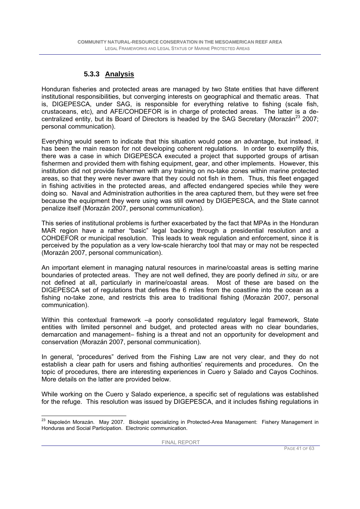### **5.3.3 Analysis**

Honduran fisheries and protected areas are managed by two State entities that have different institutional responsibilities, but converging interests on geographical and thematic areas. That is, DIGEPESCA, under SAG, is responsible for everything relative to fishing (scale fish, crustaceans, etc), and AFE/COHDEFOR is in charge of protected areas. The latter is a decentralized entity, but its Board of Directors is headed by the SAG Secretary (Morazán<sup>23</sup> 2007; personal communication).

Everything would seem to indicate that this situation would pose an advantage, but instead, it has been the main reason for not developing coherent regulations. In order to exemplify this, there was a case in which DIGEPESCA executed a project that supported groups of artisan fishermen and provided them with fishing equipment, gear, and other implements. However, this institution did not provide fishermen with any training on no-take zones within marine protected areas, so that they were never aware that they could not fish in them. Thus, this fleet engaged in fishing activities in the protected areas, and affected endangered species while they were doing so. Naval and Administration authorities in the area captured them, but they were set free because the equipment they were using was still owned by DIGEPESCA, and the State cannot penalize itself (Morazán 2007, personal communication).

This series of institutional problems is further exacerbated by the fact that MPAs in the Honduran MAR region have a rather "basic" legal backing through a presidential resolution and a COHDEFOR or municipal resolution. This leads to weak regulation and enforcement, since it is perceived by the population as a very low-scale hierarchy tool that may or may not be respected (Morazán 2007, personal communication).

An important element in managing natural resources in marine/coastal areas is setting marine boundaries of protected areas. They are not well defined, they are poorly defined *in situ,* or are not defined at all, particularly in marine/coastal areas. Most of these are based on the DIGEPESCA set of regulations that defines the 6 miles from the coastline into the ocean as a fishing no-take zone, and restricts this area to traditional fishing (Morazán 2007, personal communication).

Within this contextual framework -a poorly consolidated regulatory legal framework, State entities with limited personnel and budget, and protected areas with no clear boundaries, demarcation and management– fishing is a threat and not an opportunity for development and conservation (Morazán 2007, personal communication).

In general, "procedures" derived from the Fishing Law are not very clear, and they do not establish a clear path for users and fishing authorities' requirements and procedures. On the topic of procedures, there are interesting experiences in Cuero y Salado and Cayos Cochinos. More details on the latter are provided below.

While working on the Cuero y Salado experience, a specific set of regulations was established for the refuge. This resolution was issued by DIGEPESCA, and it includes fishing regulations in

 $\overline{a}$ <sup>23</sup> Napoleón Morazán. May 2007. Biologist specializing in Protected-Area Management: Fishery Management in Honduras and Social Participation. Electronic communication.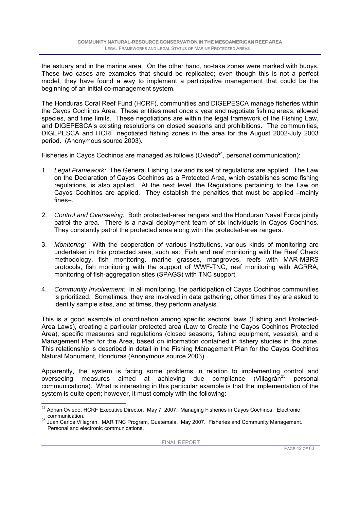the estuary and in the marine area. On the other hand, no-take zones were marked with buoys. These two cases are examples that should be replicated; even though this is not a perfect model, they have found a way to implement a participative management that could be the beginning of an initial co-management system.

The Honduras Coral Reef Fund (HCRF), communities and DIGEPESCA manage fisheries within the Cayos Cochinos Area. These entities meet once a year and negotiate fishing areas, allowed species, and time limits. These negotiations are within the legal framework of the Fishing Law, and DIGEPESCA's existing resolutions on closed seasons and prohibitions. The communities, DIGEPESCA and HCRF negotiated fishing zones in the area for the August 2002-July 2003 period. (Anonymous source 2003).

Fisheries in Cayos Cochinos are managed as follows (Oviedo $^{24}$ , personal communication):

- 1. *Legal Framework:* The General Fishing Law and its set of regulations are applied. The Law on the Declaration of Cayos Cochinos as a Protected Area, which establishes some fishing regulations, is also applied. At the next level, the Regulations pertaining to the Law on Cayos Cochinos are applied. They establish the penalties that must be applied –mainly fines–.
- 2. *Control and Overseeing:* Both protected-area rangers and the Honduran Naval Force jointly patrol the area. There is a naval deployment team of six individuals in Cayos Cochinos. They constantly patrol the protected area along with the protected-area rangers.
- 3. *Monitoring:* With the cooperation of various institutions, various kinds of monitoring are undertaken in this protected area, such as: Fish and reef monitoring with the Reef Check methodology, fish monitoring, marine grasses, mangroves, reefs with MAR-MBRS protocols, fish monitoring with the support of WWF-TNC, reef monitoring with AGRRA, monitoring of fish-aggregation sites (SPAGS) with TNC support.
- 4. *Community Involvement:* In all monitoring, the participation of Cayos Cochinos communities is prioritized. Sometimes, they are involved in data gathering; other times they are asked to identify sample sites, and at times, they perform analysis.

This is a good example of coordination among specific sectoral laws (Fishing and Protected-Area Laws), creating a particular protected area (Law to Create the Cayos Cochinos Protected Area), specific measures and regulations (closed seasons, fishing equipment, vessels), and a Management Plan for the Area, based on information contained in fishery studies in the zone. This relationship is described in detail in the Fishing Management Plan for the Cayos Cochinos Natural Monument, Honduras (Anonymous source 2003).

Apparently, the system is facing some problems in relation to implementing control and overseeing measures aimed at achieving due compliance (Villagrán<sup>25</sup> personal communications). What is interesting in this particular example is that the implementation of the system is quite open; however, it must comply with the following:

 <sup>24</sup> Adrian Oviedo, HCRF Executive Director. May 7, 2007. Managing Fisheries in Cayos Cochinos. Electronic communication.

<sup>&</sup>lt;sup>25</sup> Juan Carlos Villagrán. MAR TNC Program, Guatemala. May 2007. Fisheries and Community Management. Personal and electronic communications.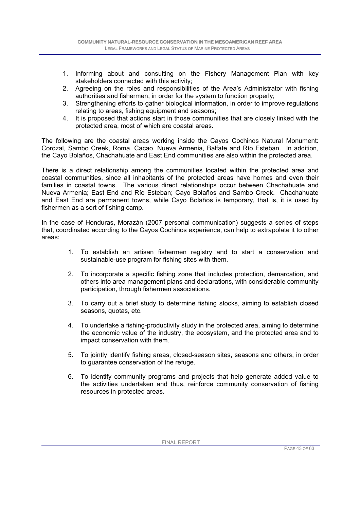- 1. Informing about and consulting on the Fishery Management Plan with key stakeholders connected with this activity;
- 2. Agreeing on the roles and responsibilities of the Area's Administrator with fishing authorities and fishermen, in order for the system to function properly;
- 3. Strengthening efforts to gather biological information, in order to improve regulations relating to areas, fishing equipment and seasons:
- 4. It is proposed that actions start in those communities that are closely linked with the protected area, most of which are coastal areas.

The following are the coastal areas working inside the Cayos Cochinos Natural Monument: Corozal, Sambo Creek, Roma, Cacao, Nueva Armenia, Balfate and Río Esteban. In addition, the Cayo Bolaños, Chachahuate and East End communities are also within the protected area.

There is a direct relationship among the communities located within the protected area and coastal communities, since all inhabitants of the protected areas have homes and even their families in coastal towns. The various direct relationships occur between Chachahuate and Nueva Armenia; East End and Río Esteban; Cayo Bolaños and Sambo Creek. Chachahuate and East End are permanent towns, while Cayo Bolaños is temporary, that is, it is used by fishermen as a sort of fishing camp.

In the case of Honduras, Morazán (2007 personal communication) suggests a series of steps that, coordinated according to the Cayos Cochinos experience, can help to extrapolate it to other areas:

- 1. To establish an artisan fishermen registry and to start a conservation and sustainable-use program for fishing sites with them.
- 2. To incorporate a specific fishing zone that includes protection, demarcation, and others into area management plans and declarations, with considerable community participation, through fishermen associations.
- 3. To carry out a brief study to determine fishing stocks, aiming to establish closed seasons, quotas, etc.
- 4. To undertake a fishing-productivity study in the protected area, aiming to determine the economic value of the industry, the ecosystem, and the protected area and to impact conservation with them.
- 5. To jointly identify fishing areas, closed-season sites, seasons and others, in order to guarantee conservation of the refuge.
- 6. To identify community programs and projects that help generate added value to the activities undertaken and thus, reinforce community conservation of fishing resources in protected areas.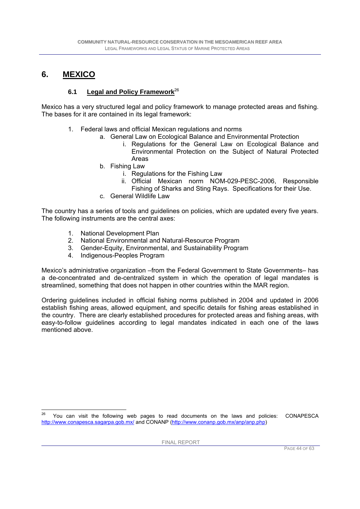### **6. MEXICO**

### **6.1 Legal and Policy Framework**<sup>26</sup>

Mexico has a very structured legal and policy framework to manage protected areas and fishing. The bases for it are contained in its legal framework:

- 1. Federal laws and official Mexican regulations and norms
	- a. General Law on Ecological Balance and Environmental Protection
		- i. Regulations for the General Law on Ecological Balance and Environmental Protection on the Subject of Natural Protected Areas
	- b. Fishing Law
		- i. Regulations for the Fishing Law
		- ii. Official Mexican norm NOM-029-PESC-2006, Responsible Fishing of Sharks and Sting Rays. Specifications for their Use.
	- c. General Wildlife Law

The country has a series of tools and guidelines on policies, which are updated every five years. The following instruments are the central axes:

- 1. National Development Plan
- 2. National Environmental and Natural-Resource Program
- 3. Gender-Equity, Environmental, and Sustainability Program
- 4. Indigenous-Peoples Program

Mexico's administrative organization –from the Federal Government to State Governments– has a de-concentrated and de-centralized system in which the operation of legal mandates is streamlined, something that does not happen in other countries within the MAR region.

Ordering guidelines included in official fishing norms published in 2004 and updated in 2006 establish fishing areas, allowed equipment, and specific details for fishing areas established in the country. There are clearly established procedures for protected areas and fishing areas, with easy-to-follow guidelines according to legal mandates indicated in each one of the laws mentioned above.

 You can visit the following web pages to read documents on the laws and policies: CONAPESCA http://www.conapesca.sagarpa.gob.mx/ and CONANP (http://www.conanp.gob.mx/anp/anp.php)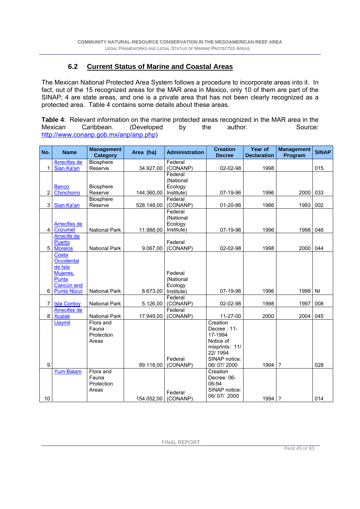### **6.2 Current Status of Marine and Coastal Areas**

The Mexican National Protected Area System follows a procedure to incorporate areas into it. In fact, out of the 15 recognized areas for the MAR area in Mexico, only 10 of them are part of the SINAP; 4 are state areas, and one is a private area that has not been clearly recognized as a protected area. Table 4 contains some details about these areas.

**Table 4**: Relevant information on the marine protected areas recognized in the MAR area in the Mexican Caribbean. (Developed by the author. Source: http://www.conanp.gob.mx/anp/anp.php)

| No.            | <b>Name</b>        | <b>Management</b><br><b>Category</b> | Area (ha)           | <b>Administration</b> | <b>Creation</b><br><b>Decree</b> | Year of<br><b>Declaration</b> | <b>Management</b><br>Program | <b>SINAP</b> |
|----------------|--------------------|--------------------------------------|---------------------|-----------------------|----------------------------------|-------------------------------|------------------------------|--------------|
|                | Arrecifes de       | <b>Biosphere</b>                     |                     | Federal               |                                  |                               |                              |              |
| 1              | Sian Ka'an         | Reserve                              | 34.927,00           | (CONANP)              | 02-02-98                         | 1998                          |                              | 015          |
|                |                    |                                      |                     | Federal               |                                  |                               |                              |              |
|                |                    |                                      |                     | (National             |                                  |                               |                              |              |
|                | <b>Banco</b>       | <b>Biosphere</b>                     |                     | Ecology               |                                  |                               |                              |              |
| $\overline{2}$ | Chinchorro         | Reserve                              | 144.360,00          | Institute)            | 07-19-96                         | 1996                          | 2000                         | 033          |
|                |                    | Biosphere                            |                     | Federal               |                                  |                               |                              |              |
| 3              | Sian Ka'an         | Reserve                              | 528.148,00          | (CONANP)              | 01-20-86                         | 1986                          | 1993                         | 002          |
|                |                    |                                      |                     | Federal<br>(National  |                                  |                               |                              |              |
|                | Arrecifes de       |                                      |                     | Ecology               |                                  |                               |                              |              |
| $\overline{4}$ | Cozumel            | <b>National Park</b>                 | 11.988,00           | Institute)            | 07-19-96                         | 1996                          | 1998 046                     |              |
|                | Arrecife de        |                                      |                     |                       |                                  |                               |                              |              |
|                | Puerto             |                                      |                     | Federal               |                                  |                               |                              |              |
| 5              | <b>Morelos</b>     | <b>National Park</b>                 | 9.067,00            | (CONANP)              | 02-02-98                         | 1998                          | 2000                         | 044          |
|                | Costa              |                                      |                     |                       |                                  |                               |                              |              |
|                | Occidental         |                                      |                     |                       |                                  |                               |                              |              |
|                | de Isla            |                                      |                     |                       |                                  |                               |                              |              |
|                | Mujeres,           |                                      |                     | Federal               |                                  |                               |                              |              |
|                | Punta              |                                      |                     | (National             |                                  |                               |                              |              |
|                | Cancún and         |                                      |                     | Ecology               |                                  |                               |                              |              |
| 6              | <b>Punta Nizuc</b> | <b>National Park</b>                 | 8.673,00            | Institute)            | 07-19-96                         | 1996                          | 1998 NI                      |              |
| 7 <sup>1</sup> | <b>Isla Contoy</b> | <b>National Park</b>                 | 5.126,00            | Federal<br>(CONANP)   | 02-02-98                         | 1998                          | 1997                         | 008          |
|                | Arrecifes de       |                                      |                     | Federal               |                                  |                               |                              |              |
| 8              | <b>Xcalak</b>      | <b>National Park</b>                 | 17.949,00           | (CONANP)              | 11-27-00                         | 2000                          | 2004                         | 045          |
|                | <b>Uaymil</b>      | Flora and                            |                     |                       | Creation                         |                               |                              |              |
|                |                    | Fauna                                |                     |                       | Decree: 11-                      |                               |                              |              |
|                |                    | Protection                           |                     |                       | 17-1994                          |                               |                              |              |
|                |                    | Areas                                |                     |                       | Notice of                        |                               |                              |              |
|                |                    |                                      |                     |                       | misprints: 11/                   |                               |                              |              |
|                |                    |                                      |                     |                       | 22/1994                          |                               |                              |              |
| 9              |                    |                                      | 89.118,00           | Federal<br>(CONANP)   | SINAP notice:<br>06/07/2000      | 1994                          | $\gamma$                     | 028          |
|                | <b>Yum Balam</b>   | Flora and                            |                     |                       | Creation                         |                               |                              |              |
|                |                    | Fauna                                |                     |                       | Decree: 06-                      |                               |                              |              |
|                |                    | Protection                           |                     |                       | 06-94                            |                               |                              |              |
|                |                    | Areas                                |                     |                       | SINAP notice:                    |                               |                              |              |
|                |                    |                                      |                     | Federal               | 06/07/2000                       |                               |                              |              |
| 10             |                    |                                      | 154.052,00 (CONANP) |                       |                                  | 1994 ?                        |                              | 014          |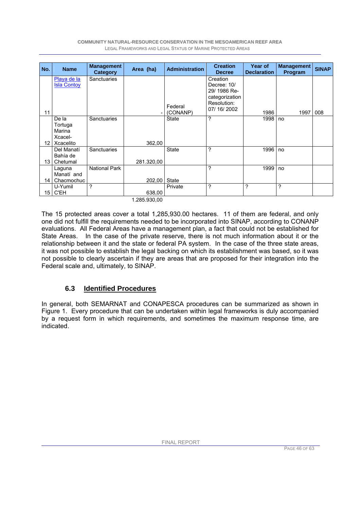| No.  | <b>Name</b>                                        | <b>Management</b><br>Category | Area (ha)  | <b>Administration</b> | <b>Creation</b><br><b>Decree</b>                                                      | Year of<br><b>Declaration</b> | <b>Management</b><br>Program | <b>SINAP</b> |
|------|----------------------------------------------------|-------------------------------|------------|-----------------------|---------------------------------------------------------------------------------------|-------------------------------|------------------------------|--------------|
| 11   | Playa de la<br><b>Isla Contoy</b>                  | <b>Sanctuaries</b>            |            | Federal<br>(CONANP)   | Creation<br>Decree: 10/<br>29/1986 Re-<br>categorization<br>Resolution:<br>07/16/2002 | 1986                          | 1997                         | 008          |
| 12 I | De la<br>Tortuga<br>Marina<br>Xcacel-<br>Xcacelito | Sanctuaries                   | 362,00     | <b>State</b>          | ?                                                                                     | 1998                          | no                           |              |
| 13   | Del Manatí<br>Bahía de<br>Chetumal                 | <b>Sanctuaries</b>            | 281.320,00 | <b>State</b>          | ?                                                                                     | 1996                          | no                           |              |
| 14   | Laquna<br>Manatí and<br>Chacmochuc                 | <b>National Park</b>          | 202,00     | State                 | ?                                                                                     | 1999                          | no                           |              |
| 15   | U-Yumil<br>C'EH                                    | ?                             | 638,00     | Private               | ?                                                                                     | ?                             | ?                            |              |

1.285.930,00

The 15 protected areas cover a total 1,285,930.00 hectares. 11 of them are federal, and only one did not fulfill the requirements needed to be incorporated into SINAP, according to CONANP evaluations. All Federal Areas have a management plan, a fact that could not be established for State Areas. In the case of the private reserve, there is not much information about it or the relationship between it and the state or federal PA system. In the case of the three state areas, it was not possible to establish the legal backing on which its establishment was based, so it was not possible to clearly ascertain if they are areas that are proposed for their integration into the Federal scale and, ultimately, to SINAP.

### **6.3 Identified Procedures**

In general, both SEMARNAT and CONAPESCA procedures can be summarized as shown in Figure 1. Every procedure that can be undertaken within legal frameworks is duly accompanied by a request form in which requirements, and sometimes the maximum response time, are indicated.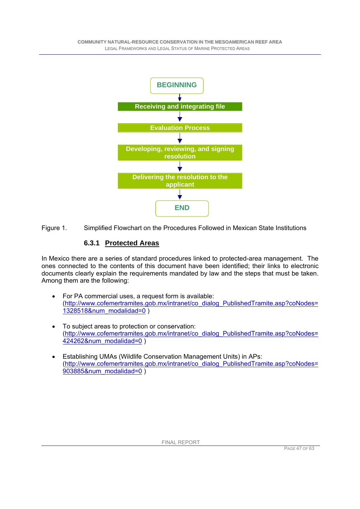

Figure 1. Simplified Flowchart on the Procedures Followed in Mexican State Institutions

### **6.3.1 Protected Areas**

In Mexico there are a series of standard procedures linked to protected-area management. The ones connected to the contents of this document have been identified; their links to electronic documents clearly explain the requirements mandated by law and the steps that must be taken. Among them are the following:

- For PA commercial uses, a request form is available: (http://www.cofemertramites.gob.mx/intranet/co\_dialog\_PublishedTramite.asp?coNodes= 1328518&num\_modalidad=0 )
- To subject areas to protection or conservation: (http://www.cofemertramites.gob.mx/intranet/co\_dialog\_PublishedTramite.asp?coNodes= 424262&num\_modalidad=0 )
- Establishing UMAs (Wildlife Conservation Management Units) in APs: (http://www.cofemertramites.gob.mx/intranet/co\_dialog\_PublishedTramite.asp?coNodes= 903885&num\_modalidad=0 )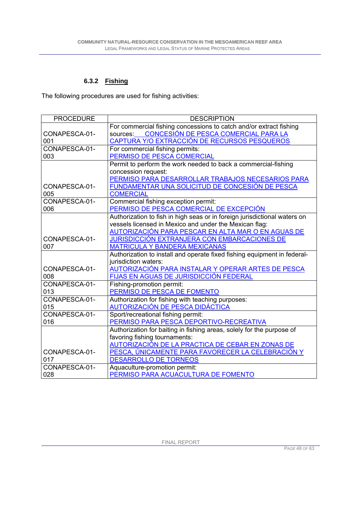### **6.3.2 Fishing**

The following procedures are used for fishing activities:

| <b>PROCEDURE</b> | <b>DESCRIPTION</b>                                                        |
|------------------|---------------------------------------------------------------------------|
|                  | For commercial fishing concessions to catch and/or extract fishing        |
| CONAPESCA-01-    | CONCESIÓN DE PESCA COMERCIAL PARA LA<br>sources:                          |
| 001              | CAPTURA Y/O EXTRACCIÓN DE RECURSOS PESQUEROS                              |
| CONAPESCA-01-    | For commercial fishing permits:                                           |
| 003              | PERMISO DE PESCA COMERCIAL                                                |
|                  | Permit to perform the work needed to back a commercial-fishing            |
|                  | concession request:                                                       |
|                  | PERMISO PARA DESARROLLAR TRABAJOS NECESARIOS PARA                         |
| CONAPESCA-01-    | FUNDAMENTAR UNA SOLICITUD DE CONCESIÓN DE PESCA                           |
| 005              | <b>COMERCIAL</b>                                                          |
| CONAPESCA-01-    | Commercial fishing exception permit:                                      |
| 006              | PERMISO DE PESCA COMERCIAL DE EXCEPCIÓN                                   |
|                  | Authorization to fish in high seas or in foreign jurisdictional waters on |
|                  | vessels licensed in Mexico and under the Mexican flag:                    |
|                  | AUTORIZACIÓN PARA PESCAR EN ALTA MAR O EN AGUAS DE                        |
| CONAPESCA-01-    | JURISDICCIÓN EXTRANJERA CON EMBARCACIONES DE                              |
| 007              | <b>MATRICULA Y BANDERA MEXICANAS</b>                                      |
|                  | Authorization to install and operate fixed fishing equipment in federal-  |
|                  | jurisdiction waters:                                                      |
| CONAPESCA-01-    | AUTORIZACIÓN PARA INSTALAR Y OPERAR ARTES DE PESCA                        |
| 008              | FIJAS EN AGUAS DE JURISDICCIÓN FEDERAL                                    |
| CONAPESCA-01-    | Fishing-promotion permit:                                                 |
| 013              | PERMISO DE PESCA DE FOMENTO                                               |
| CONAPESCA-01-    | Authorization for fishing with teaching purposes:                         |
| 015              | <b>AUTORIZACIÓN DE PESCA DIDÁCTICA</b>                                    |
| CONAPESCA-01-    | Sport/recreational fishing permit:                                        |
| 016              | PERMISO PARA PESCA DEPORTIVO-RECREATIVA                                   |
|                  | Authorization for baiting in fishing areas, solely for the purpose of     |
|                  | favoring fishing tournaments:                                             |
|                  | <u>AUTORIZACIÓN DE LA PRACTICA DE CEBAR EN ZONAS DE</u>                   |
| CONAPESCA-01-    | <u>PESCA, ÚNICAMENTE PARA FAVORECER LA CELEBRACIÓN Y</u>                  |
| 017              | <b>DESARROLLO DE TORNEOS</b>                                              |
| CONAPESCA-01-    | Aquaculture-promotion permit:                                             |
| 028              | PERMISO PARA ACUACULTURA DE FOMENTO                                       |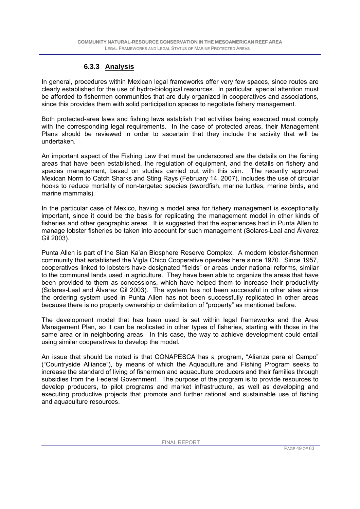### **6.3.3 Analysis**

In general, procedures within Mexican legal frameworks offer very few spaces, since routes are clearly established for the use of hydro-biological resources. In particular, special attention must be afforded to fishermen communities that are duly organized in cooperatives and associations, since this provides them with solid participation spaces to negotiate fishery management.

Both protected-area laws and fishing laws establish that activities being executed must comply with the corresponding legal requirements. In the case of protected areas, their Management Plans should be reviewed in order to ascertain that they include the activity that will be undertaken.

An important aspect of the Fishing Law that must be underscored are the details on the fishing areas that have been established, the regulation of equipment, and the details on fishery and species management, based on studies carried out with this aim. The recently approved Mexican Norm to Catch Sharks and Sting Rays (February 14, 2007), includes the use of circular hooks to reduce mortality of non-targeted species (swordfish, marine turtles, marine birds, and marine mammals).

In the particular case of Mexico, having a model area for fishery management is exceptionally important, since it could be the basis for replicating the management model in other kinds of fisheries and other geographic areas. It is suggested that the experiences had in Punta Allen to manage lobster fisheries be taken into account for such management (Solares-Leal and Álvarez Gil 2003).

Punta Allen is part of the Sian Ka'an Biosphere Reserve Complex. A modern lobster-fishermen community that established the Vigía Chico Cooperative operates here since 1970. Since 1957, cooperatives linked to lobsters have designated "fields" or areas under national reforms, similar to the communal lands used in agriculture. They have been able to organize the areas that have been provided to them as concessions, which have helped them to increase their productivity (Solares-Leal and Álvarez Gil 2003). The system has not been successful in other sites since the ordering system used in Punta Allen has not been successfully replicated in other areas because there is no property ownership or delimitation of "property" as mentioned before.

The development model that has been used is set within legal frameworks and the Area Management Plan, so it can be replicated in other types of fisheries, starting with those in the same area or in neighboring areas. In this case, the way to achieve development could entail using similar cooperatives to develop the model.

An issue that should be noted is that CONAPESCA has a program, "Alianza para el Campo" ("Countryside Alliance"), by means of which the Aquaculture and Fishing Program seeks to increase the standard of living of fishermen and aquaculture producers and their families through subsidies from the Federal Government. The purpose of the program is to provide resources to develop producers, to pilot programs and market infrastructure, as well as developing and executing productive projects that promote and further rational and sustainable use of fishing and aquaculture resources.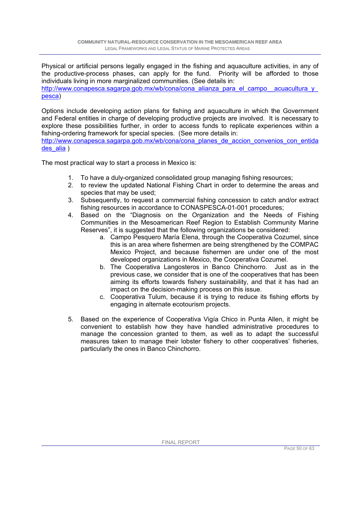Physical or artificial persons legally engaged in the fishing and aquaculture activities, in any of the productive-process phases, can apply for the fund. Priority will be afforded to those individuals living in more marginalized communities. (See details in: http://www.conapesca.sagarpa.gob.mx/wb/cona/cona\_alianza\_para\_el\_campo\_\_acuacultura\_y pesca)

Options include developing action plans for fishing and aquaculture in which the Government and Federal entities in charge of developing productive projects are involved. It is necessary to explore these possibilities further, in order to access funds to replicate experiences within a fishing-ordering framework for special species. (See more details in:

http://www.conapesca.sagarpa.gob.mx/wb/cona/cona\_planes\_de\_accion\_convenios\_con\_entida des alia )

The most practical way to start a process in Mexico is:

- 1. To have a duly-organized consolidated group managing fishing resources;
- 2. to review the updated National Fishing Chart in order to determine the areas and species that may be used;
- 3. Subsequently, to request a commercial fishing concession to catch and/or extract fishing resources in accordance to CONASPESCA-01-001 procedures;
- 4. Based on the "Diagnosis on the Organization and the Needs of Fishing Communities in the Mesoamerican Reef Region to Establish Community Marine Reserves", it is suggested that the following organizations be considered:
	- a. Campo Pesquero María Elena, through the Cooperativa Cozumel, since this is an area where fishermen are being strengthened by the COMPAC Mexico Project, and because fishermen are under one of the most developed organizations in Mexico, the Cooperativa Cozumel.
	- b. The Cooperativa Langosteros in Banco Chinchorro. Just as in the previous case, we consider that is one of the cooperatives that has been aiming its efforts towards fishery sustainability, and that it has had an impact on the decision-making process on this issue.
	- c. Cooperativa Tulum, because it is trying to reduce its fishing efforts by engaging in alternate ecotourism projects.
- 5. Based on the experience of Cooperativa Vigía Chico in Punta Allen, it might be convenient to establish how they have handled administrative procedures to manage the concession granted to them, as well as to adapt the successful measures taken to manage their lobster fishery to other cooperatives' fisheries, particularly the ones in Banco Chinchorro.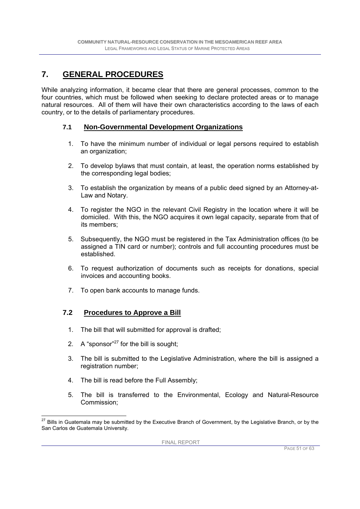### **7. GENERAL PROCEDURES**

While analyzing information, it became clear that there are general processes, common to the four countries, which must be followed when seeking to declare protected areas or to manage natural resources. All of them will have their own characteristics according to the laws of each country, or to the details of parliamentary procedures.

#### **7.1 Non-Governmental Development Organizations**

- 1. To have the minimum number of individual or legal persons required to establish an organization;
- 2. To develop bylaws that must contain, at least, the operation norms established by the corresponding legal bodies;
- 3. To establish the organization by means of a public deed signed by an Attorney-at-Law and Notary.
- 4. To register the NGO in the relevant Civil Registry in the location where it will be domiciled. With this, the NGO acquires it own legal capacity, separate from that of its members;
- 5. Subsequently, the NGO must be registered in the Tax Administration offices (to be assigned a TIN card or number); controls and full accounting procedures must be established.
- 6. To request authorization of documents such as receipts for donations, special invoices and accounting books.
- 7. To open bank accounts to manage funds.

#### **7.2 Procedures to Approve a Bill**

- 1. The bill that will submitted for approval is drafted;
- 2. A "sponsor" $27$  for the bill is sought;
- 3. The bill is submitted to the Legislative Administration, where the bill is assigned a registration number;
- 4. The bill is read before the Full Assembly;
- 5. The bill is transferred to the Environmental, Ecology and Natural-Resource Commission;

 $\overline{a}$  $^{27}$  Bills in Guatemala may be submitted by the Executive Branch of Government, by the Legislative Branch, or by the San Carlos de Guatemala University.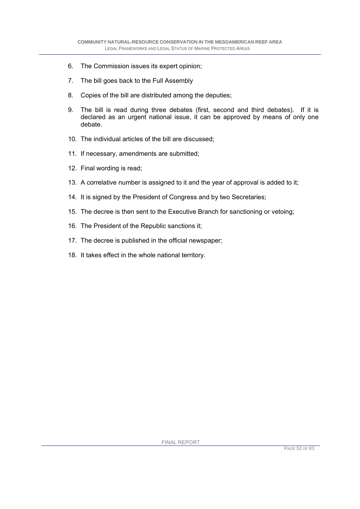- 6. The Commission issues its expert opinion;
- 7. The bill goes back to the Full Assembly
- 8. Copies of the bill are distributed among the deputies;
- 9. The bill is read during three debates (first, second and third debates). If it is declared as an urgent national issue, it can be approved by means of only one debate.
- 10. The individual articles of the bill are discussed;
- 11. If necessary, amendments are submitted;
- 12. Final wording is read;
- 13. A correlative number is assigned to it and the year of approval is added to it;
- 14. It is signed by the President of Congress and by two Secretaries;
- 15. The decree is then sent to the Executive Branch for sanctioning or vetoing;
- 16. The President of the Republic sanctions it;
- 17. The decree is published in the official newspaper;
- 18. It takes effect in the whole national territory.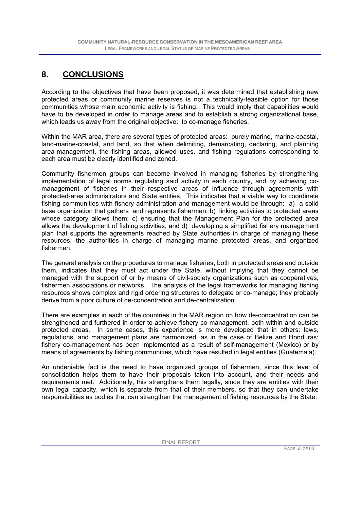## **8. CONCLUSIONS**

According to the objectives that have been proposed, it was determined that establishing new protected areas or community marine reserves is not a technically-feasible option for those communities whose main economic activity is fishing. This would imply that capabilities would have to be developed in order to manage areas and to establish a strong organizational base, which leads us away from the original objective: to co-manage fisheries.

Within the MAR area, there are several types of protected areas: purely marine, marine-coastal, land-marine-coastal, and land, so that when delimiting, demarcating, declaring, and planning area-management, the fishing areas, allowed uses, and fishing regulations corresponding to each area must be clearly identified and zoned.

Community fishermen groups can become involved in managing fisheries by strengthening implementation of legal norms regulating said activity in each country, and by achieving comanagement of fisheries in their respective areas of influence through agreements with protected-area administrators and State entities. This indicates that a viable way to coordinate fishing communities with fishery administration and management would be through: a) a solid base organization that gathers and represents fishermen; b) linking activities to protected areas whose category allows them; c) ensuring that the Management Plan for the protected area allows the development of fishing activities, and d) developing a simplified fishery management plan that supports the agreements reached by State authorities in charge of managing these resources, the authorities in charge of managing marine protected areas, and organized fishermen.

The general analysis on the procedures to manage fisheries, both in protected areas and outside them, indicates that they must act under the State, without implying that they cannot be managed with the support of or by means of civil-society organizations such as cooperatives, fishermen associations or networks. The analysis of the legal frameworks for managing fishing resources shows complex and rigid ordering structures to delegate or co-manage; they probably derive from a poor culture of de-concentration and de-centralization.

There are examples in each of the countries in the MAR region on how de-concentration can be strengthened and furthered in order to achieve fishery co-management, both within and outside protected areas. In some cases, this experience is more developed that in others: laws, regulations, and management plans are harmonized, as in the case of Belize and Honduras; fishery co-management has been implemented as a result of self-management (Mexico) or by means of agreements by fishing communities, which have resulted in legal entities (Guatemala).

An undeniable fact is the need to have organized groups of fishermen, since this level of consolidation helps them to have their proposals taken into account, and their needs and requirements met. Additionally, this strengthens them legally, since they are entities with their own legal capacity, which is separate from that of their members, so that they can undertake responsibilities as bodies that can strengthen the management of fishing resources by the State.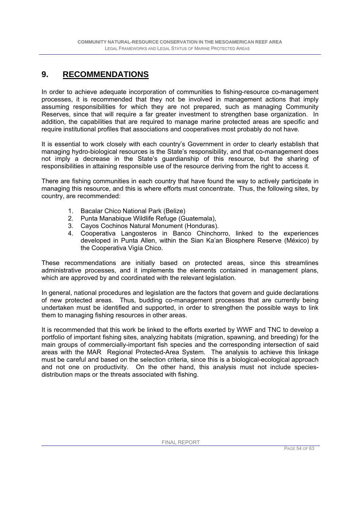### **9. RECOMMENDATIONS**

In order to achieve adequate incorporation of communities to fishing-resource co-management processes, it is recommended that they not be involved in management actions that imply assuming responsibilities for which they are not prepared, such as managing Community Reserves, since that will require a far greater investment to strengthen base organization. In addition, the capabilities that are required to manage marine protected areas are specific and require institutional profiles that associations and cooperatives most probably do not have.

It is essential to work closely with each country's Government in order to clearly establish that managing hydro-biological resources is the State's responsibility, and that co-management does not imply a decrease in the State's guardianship of this resource, but the sharing of responsibilities in attaining responsible use of the resource deriving from the right to access it.

There are fishing communities in each country that have found the way to actively participate in managing this resource, and this is where efforts must concentrate. Thus, the following sites, by country, are recommended:

- 1. Bacalar Chico National Park (Belize)
- 2. Punta Manabique Wildlife Refuge (Guatemala),
- 3. Cayos Cochinos Natural Monument (Honduras).
- 4. Cooperativa Langosteros in Banco Chinchorro, linked to the experiences developed in Punta Allen, within the Sian Ka'an Biosphere Reserve (México) by the Cooperativa Vigía Chico.

These recommendations are initially based on protected areas, since this streamlines administrative processes, and it implements the elements contained in management plans, which are approved by and coordinated with the relevant legislation.

In general, national procedures and legislation are the factors that govern and guide declarations of new protected areas. Thus, budding co-management processes that are currently being undertaken must be identified and supported, in order to strengthen the possible ways to link them to managing fishing resources in other areas.

It is recommended that this work be linked to the efforts exerted by WWF and TNC to develop a portfolio of important fishing sites, analyzing habitats (migration, spawning, and breeding) for the main groups of commercially-important fish species and the corresponding intersection of said areas with the MAR Regional Protected-Area System. The analysis to achieve this linkage must be careful and based on the selection criteria, since this is a biological-ecological approach and not one on productivity. On the other hand, this analysis must not include speciesdistribution maps or the threats associated with fishing.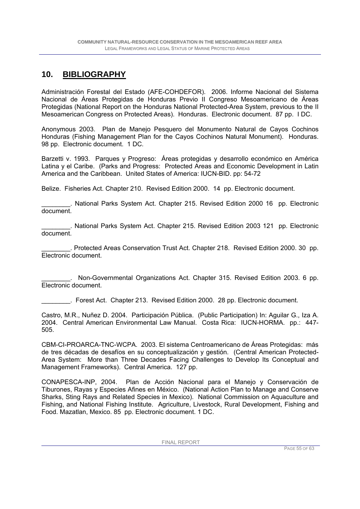### **10. BIBLIOGRAPHY**

Administración Forestal del Estado (AFE-COHDEFOR). 2006. Informe Nacional del Sistema Nacional de Áreas Protegidas de Honduras Previo II Congreso Mesoamericano de Áreas Protegidas (National Report on the Honduras National Protected-Area System, previous to the II Mesoamerican Congress on Protected Areas). Honduras. Electronic document. 87 pp. I DC.

Anonymous 2003. Plan de Manejo Pesquero del Monumento Natural de Cayos Cochinos Honduras (Fishing Management Plan for the Cayos Cochinos Natural Monument). Honduras. 98 pp. Electronic document. 1 DC.

Barzetti v. 1993. Parques y Progreso: Áreas protegidas y desarrollo económico en América Latina y el Caribe. (Parks and Progress: Protected Areas and Economic Development in Latin America and the Caribbean. United States of America: IUCN-BID. pp: 54-72

Belize. Fisheries Act. Chapter 210. Revised Edition 2000. 14 pp. Electronic document.

\_\_\_\_\_\_\_\_. National Parks System Act. Chapter 215. Revised Edition 2000 16 pp. Electronic document.

\_\_\_\_\_\_\_\_. National Parks System Act. Chapter 215. Revised Edition 2003 121 pp. Electronic document.

\_\_\_\_\_\_\_\_. Protected Areas Conservation Trust Act. Chapter 218. Revised Edition 2000. 30 pp. Electronic document.

\_\_\_\_\_\_\_\_. Non-Governmental Organizations Act. Chapter 315. Revised Edition 2003. 6 pp. Electronic document.

\_\_\_\_\_\_\_\_. Forest Act. Chapter 213. Revised Edition 2000. 28 pp. Electronic document.

Castro, M.R., Nuñez D. 2004. Participación Pública. (Public Participation) In: Aguilar G., Iza A. 2004. Central American Environmental Law Manual. Costa Rica: IUCN-HORMA. pp.: 447- 505.

CBM-CI-PROARCA-TNC-WCPA. 2003. El sistema Centroamericano de Áreas Protegidas: más de tres décadas de desafíos en su conceptualización y gestión. (Central American Protected-Area System: More than Three Decades Facing Challenges to Develop Its Conceptual and Management Frameworks). Central America. 127 pp.

CONAPESCA-INP, 2004. Plan de Acción Nacional para el Manejo y Conservación de Tiburones, Rayas y Especies Afines en México. (National Action Plan to Manage and Conserve Sharks, Sting Rays and Related Species in Mexico). National Commission on Aquaculture and Fishing, and National Fishing Institute. Agriculture, Livestock, Rural Development, Fishing and Food. Mazatlan, Mexico. 85 pp. Electronic document. 1 DC.

FINAL REPORT

PAGE 55 OF 63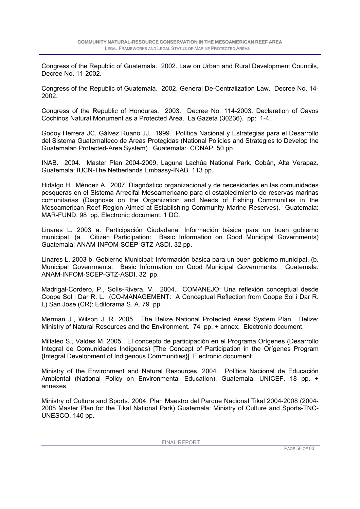Congress of the Republic of Guatemala. 2002. Law on Urban and Rural Development Councils, Decree No. 11-2002.

Congress of the Republic of Guatemala. 2002. General De-Centralization Law. Decree No. 14- 2002.

Congress of the Republic of Honduras. 2003. Decree No. 114-2003. Declaration of Cayos Cochinos Natural Monument as a Protected Area. La Gazeta (30236). pp: 1-4.

Godoy Herrera JC, Gálvez Ruano JJ. 1999. Política Nacional y Estrategias para el Desarrollo del Sistema Guatemalteco de Áreas Protegidas (National Policies and Strategies to Develop the Guatemalan Protected-Area System). Guatemala: CONAP. 50 pp.

INAB. 2004. Master Plan 2004-2009, Laguna Lachúa National Park. Cobán, Alta Verapaz. Guatemala: IUCN-The Netherlands Embassy-INAB. 113 pp.

Hidalgo H., Méndez A. 2007. Diagnóstico organizacional y de necesidades en las comunidades pesqueras en el Sistema Arrecifal Mesoamericano para el establecimiento de reservas marinas comunitarias (Diagnosis on the Organization and Needs of Fishing Communities in the Mesoamerican Reef Region Aimed at Establishing Community Marine Reserves). Guatemala: MAR-FUND. 98 pp. Electronic document. 1 DC.

Linares L. 2003 a. Participación Ciudadana: Información básica para un buen gobierno municipal. (a. Citizen Participation: Basic Information on Good Municipal Governments) Guatemala: ANAM-INFOM-SCEP-GTZ-ASDI. 32 pp.

Linares L. 2003 b. Gobierno Municipal: Información básica para un buen gobierno municipal. (b. Municipal Governments: Basic Information on Good Municipal Governments. Guatemala: ANAM-INFOM-SCEP-GTZ-ASDI. 32 pp.

Madrigal-Cordero, P., Solís-Rivera, V. 2004. COMANEJO: Una reflexión conceptual desde Coope Sol i Dar R. L. (CO-MANAGEMENT: A Conceptual Reflection from Coope Sol i Dar R. L) San Jose (CR): Editorama S. A. 79 pp.

Merman J., Wilson J. R. 2005. The Belize National Protected Areas System Plan. Belize: Ministry of Natural Resources and the Environment. 74 pp. + annex. Electronic document.

Millaleo S., Valdes M. 2005. El concepto de participación en el Programa Orígenes (Desarrollo Integral de Comunidades Indígenas) [The Concept of Participation in the Orígenes Program {Integral Development of Indigenous Communities}]. Electronic document.

Ministry of the Environment and Natural Resources. 2004. Política Nacional de Educación Ambiental (National Policy on Environmental Education). Guatemala: UNICEF. 18 pp. + annexes.

Ministry of Culture and Sports. 2004. Plan Maestro del Parque Nacional Tikal 2004-2008 (2004- 2008 Master Plan for the Tikal National Park) Guatemala: Ministry of Culture and Sports-TNC-UNESCO. 140 pp.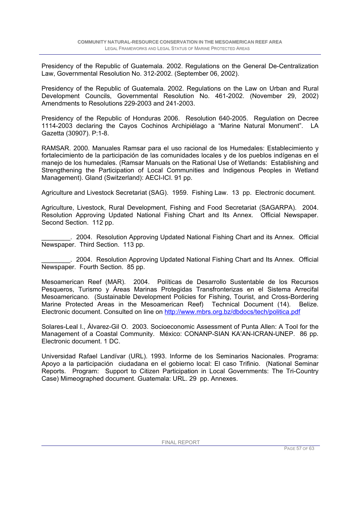Presidency of the Republic of Guatemala. 2002. Regulations on the General De-Centralization Law, Governmental Resolution No. 312-2002. (September 06, 2002).

Presidency of the Republic of Guatemala. 2002. Regulations on the Law on Urban and Rural Development Councils, Governmental Resolution No. 461-2002. (November 29, 2002) Amendments to Resolutions 229-2003 and 241-2003.

Presidency of the Republic of Honduras 2006. Resolution 640-2005. Regulation on Decree 1114-2003 declaring the Cayos Cochinos Archipiélago a "Marine Natural Monument". LA Gazetta (30907). P:1-8.

RAMSAR. 2000. Manuales Ramsar para el uso racional de los Humedales: Establecimiento y fortalecimiento de la participación de las comunidades locales y de los pueblos indígenas en el manejo de los humedales. (Ramsar Manuals on the Rational Use of Wetlands: Establishing and Strengthening the Participation of Local Communities and Indigenous Peoples in Wetland Management). Gland (Switzerland): AECI-ICI. 91 pp.

Agriculture and Livestock Secretariat (SAG). 1959. Fishing Law. 13 pp. Electronic document.

Agriculture, Livestock, Rural Development, Fishing and Food Secretariat (SAGARPA). 2004. Resolution Approving Updated National Fishing Chart and Its Annex. Official Newspaper. Second Section. 112 pp.

\_\_\_\_\_\_\_\_. 2004. Resolution Approving Updated National Fishing Chart and its Annex. Official Newspaper. Third Section. 113 pp.

\_\_\_\_\_\_\_\_. 2004. Resolution Approving Updated National Fishing Chart and Its Annex. Official Newspaper. Fourth Section. 85 pp.

Mesoamerican Reef (MAR). 2004. Políticas de Desarrollo Sustentable de los Recursos Pesqueros, Turismo y Áreas Marinas Protegidas Transfronterizas en el Sistema Arrecifal Mesoamericano. (Sustainable Development Policies for Fishing, Tourist, and Cross-Bordering Marine Protected Areas in the Mesoamerican Reef) Technical Document (14). Belize. Electronic document. Consulted on line on http://www.mbrs.org.bz/dbdocs/tech/politica.pdf

Solares-Leal I., Álvarez-Gil O. 2003. Socioeconomic Assessment of Punta Allen: A Tool for the Management of a Coastal Community. México: CONANP-SIAN KA'AN-ICRAN-UNEP. 86 pp. Electronic document. 1 DC.

Universidad Rafael Landívar (URL). 1993. Informe de los Seminarios Nacionales. Programa: Apoyo a la participación ciudadana en el gobierno local: El caso Trifinio. (National Seminar Reports. Program: Support to Citizen Participation in Local Governments: The Tri-Country Case) Mimeographed document. Guatemala: URL. 29 pp. Annexes.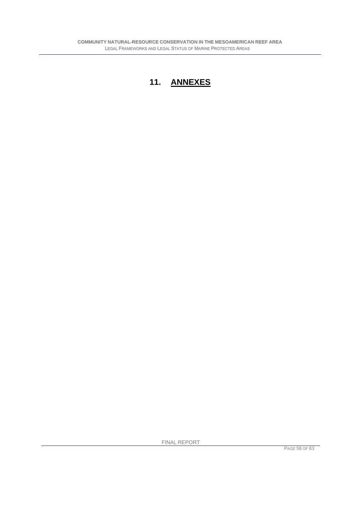# **11. ANNEXES**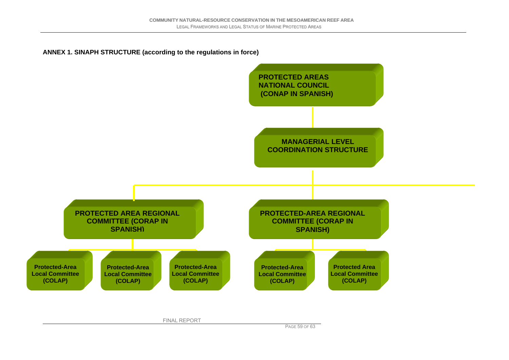#### **ANNEX 1. SINAPH STRUCTURE (according to the regulations in force)**

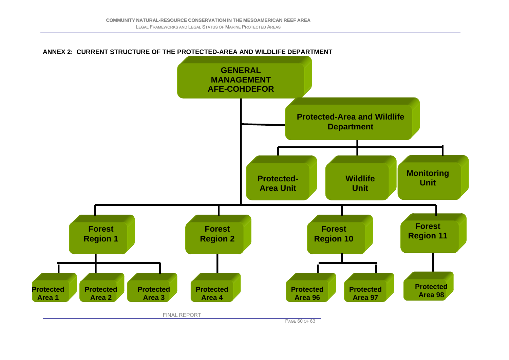

PAGE 60 OF 63

#### **ANNEX 2: CURRENT STRUCTURE OF THE PROTECTED-AREA AND WILDLIFE DEPARTMENT**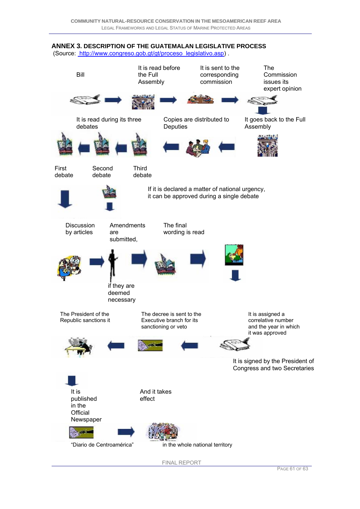### **ANNEX 3. DESCRIPTION OF THE GUATEMALAN LEGISLATIVE PROCESS**

(Source: http://www.congreso.gob.gt/gt/proceso\_legislativo.asp) .

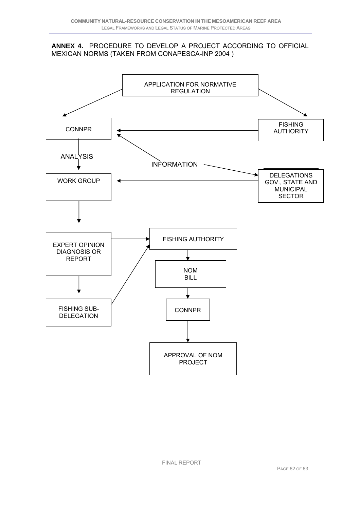#### **ANNEX 4.** PROCEDURE TO DEVELOP A PROJECT ACCORDING TO OFFICIAL MEXICAN NORMS (TAKEN FROM CONAPESCA-INP 2004 )